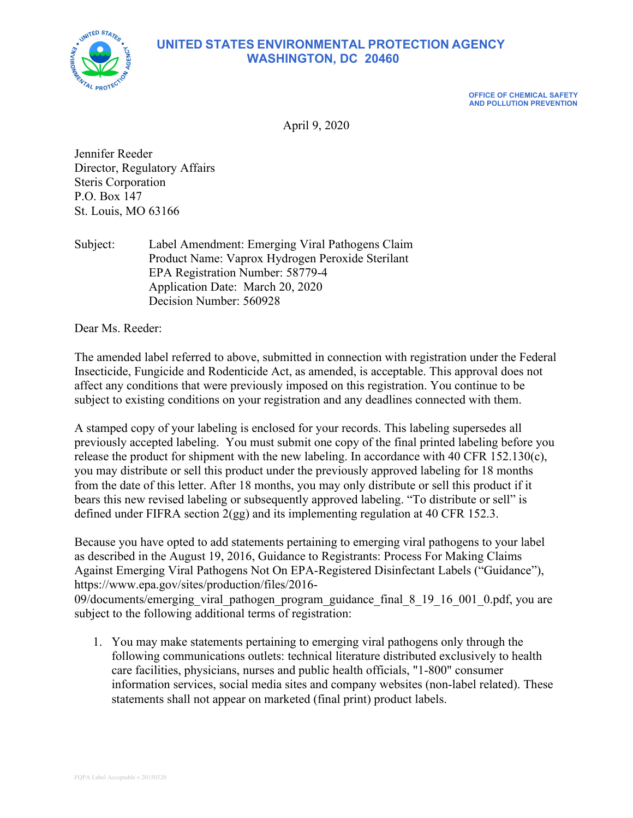

#### **UNITED STATES ENVIRONMENTAL PROTECTION AGENCY WASHINGTON, DC 20460**

**OFFICE OF CHEMICAL SAFETY AND POLLUTION PREVENTION**

April 9, 2020

Jennifer Reeder Director, Regulatory Affairs Steris Corporation P.O. Box 147 St. Louis, MO 63166

Subject: Label Amendment: Emerging Viral Pathogens Claim Product Name: Vaprox Hydrogen Peroxide Sterilant EPA Registration Number: 58779-4 Application Date: March 20, 2020 Decision Number: 560928

Dear Ms. Reeder:

The amended label referred to above, submitted in connection with registration under the Federal Insecticide, Fungicide and Rodenticide Act, as amended, is acceptable. This approval does not affect any conditions that were previously imposed on this registration. You continue to be subject to existing conditions on your registration and any deadlines connected with them.

A stamped copy of your labeling is enclosed for your records. This labeling supersedes all previously accepted labeling. You must submit one copy of the final printed labeling before you release the product for shipment with the new labeling. In accordance with 40 CFR 152.130(c), you may distribute or sell this product under the previously approved labeling for 18 months from the date of this letter. After 18 months, you may only distribute or sell this product if it bears this new revised labeling or subsequently approved labeling. "To distribute or sell" is defined under FIFRA section 2(gg) and its implementing regulation at 40 CFR 152.3.

Because you have opted to add statements pertaining to emerging viral pathogens to your label as described in the August 19, 2016, Guidance to Registrants: Process For Making Claims Against Emerging Viral Pathogens Not On EPA-Registered Disinfectant Labels ("Guidance"), https://www.epa.gov/sites/production/files/2016-

09/documents/emerging\_viral\_pathogen\_program\_guidance\_final\_8\_19\_16\_001\_0.pdf, you are subject to the following additional terms of registration:

1. You may make statements pertaining to emerging viral pathogens only through the following communications outlets: technical literature distributed exclusively to health care facilities, physicians, nurses and public health officials, "1-800" consumer information services, social media sites and company websites (non-label related). These statements shall not appear on marketed (final print) product labels.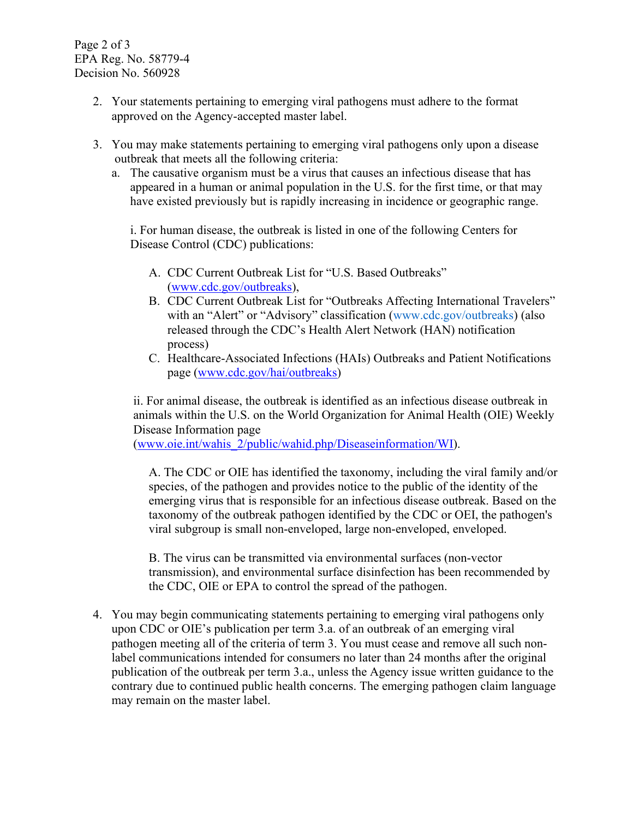Page 2 of 3 EPA Reg. No. 58779-4 Decision No. 560928

- 2. Your statements pertaining to emerging viral pathogens must adhere to the format approved on the Agency-accepted master label.
- 3. You may make statements pertaining to emerging viral pathogens only upon a disease outbreak that meets all the following criteria:
	- a. The causative organism must be a virus that causes an infectious disease that has appeared in a human or animal population in the U.S. for the first time, or that may have existed previously but is rapidly increasing in incidence or geographic range.

i. For human disease, the outbreak is listed in one of the following Centers for Disease Control (CDC) publications:

- A. CDC Current Outbreak List for "U.S. Based Outbreaks" [\(www.cdc.gov/outbreaks\)](http://www.cdc.gov/outbreaks),
- B. CDC Current Outbreak List for "Outbreaks Affecting International Travelers" with an "Alert" or "Advisory" classification (www.cdc.gov/outbreaks) (also released through the CDC's Health Alert Network (HAN) notification process)
- C. Healthcare-Associated Infections (HAIs) Outbreaks and Patient Notifications page [\(www.cdc.gov/hai/outbreaks\)](http://www.cdc.gov/hai/outbreaks)

ii. For animal disease, the outbreak is identified as an infectious disease outbreak in animals within the U.S. on the World Organization for Animal Health (OIE) Weekly Disease Information page

[\(www.oie.int/wahis\\_2/public/wahid.php/Diseaseinformation/WI\)](http://www.oie.int/wahis_2/public/wahid.php/Diseaseinformation/WI).

A. The CDC or OIE has identified the taxonomy, including the viral family and/or species, of the pathogen and provides notice to the public of the identity of the emerging virus that is responsible for an infectious disease outbreak. Based on the taxonomy of the outbreak pathogen identified by the CDC or OEI, the pathogen's viral subgroup is small non-enveloped, large non-enveloped, enveloped.

B. The virus can be transmitted via environmental surfaces (non-vector transmission), and environmental surface disinfection has been recommended by the CDC, OIE or EPA to control the spread of the pathogen.

4. You may begin communicating statements pertaining to emerging viral pathogens only upon CDC or OIE's publication per term 3.a. of an outbreak of an emerging viral pathogen meeting all of the criteria of term 3. You must cease and remove all such nonlabel communications intended for consumers no later than 24 months after the original publication of the outbreak per term 3.a., unless the Agency issue written guidance to the contrary due to continued public health concerns. The emerging pathogen claim language may remain on the master label.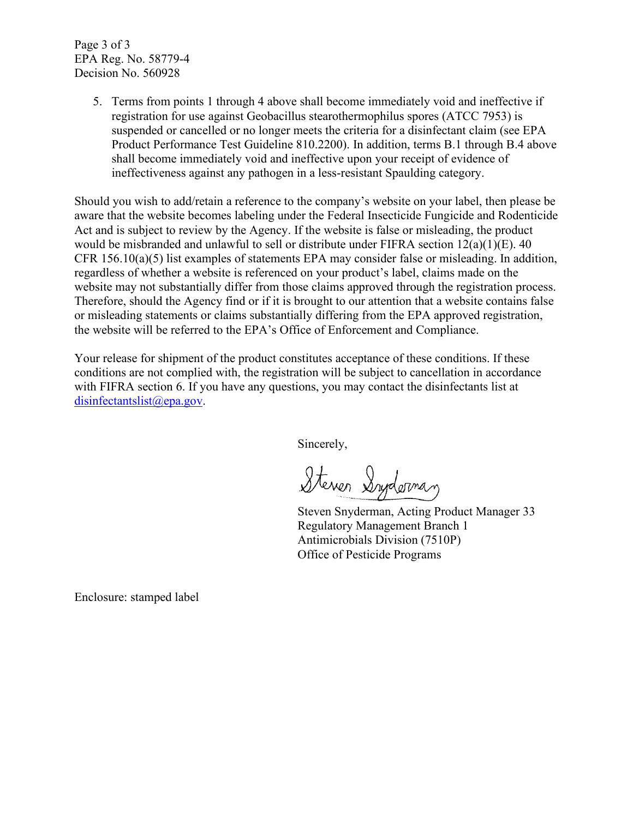Page 3 of 3 EPA Reg. No. 58779-4 Decision No. 560928

> 5. Terms from points 1 through 4 above shall become immediately void and ineffective if registration for use against Geobacillus stearothermophilus spores (ATCC 7953) is suspended or cancelled or no longer meets the criteria for a disinfectant claim (see EPA Product Performance Test Guideline 810.2200). In addition, terms B.1 through B.4 above shall become immediately void and ineffective upon your receipt of evidence of ineffectiveness against any pathogen in a less-resistant Spaulding category.

Should you wish to add/retain a reference to the company's website on your label, then please be aware that the website becomes labeling under the Federal Insecticide Fungicide and Rodenticide Act and is subject to review by the Agency. If the website is false or misleading, the product would be misbranded and unlawful to sell or distribute under FIFRA section 12(a)(1)(E). 40 CFR 156.10(a)(5) list examples of statements EPA may consider false or misleading. In addition, regardless of whether a website is referenced on your product's label, claims made on the website may not substantially differ from those claims approved through the registration process. Therefore, should the Agency find or if it is brought to our attention that a website contains false or misleading statements or claims substantially differing from the EPA approved registration, the website will be referred to the EPA's Office of Enforcement and Compliance.

Your release for shipment of the product constitutes acceptance of these conditions. If these conditions are not complied with, the registration will be subject to cancellation in accordance with FIFRA section 6. If you have any questions, you may contact the disinfectants list at [disinfectantslist@epa.gov.](mailto:disinfectantslist@epa.gov)

Sincerely,

Steven Syderman

Steven Snyderman, Acting Product Manager 33 Regulatory Management Branch 1 Antimicrobials Division (7510P) Office of Pesticide Programs

Enclosure: stamped label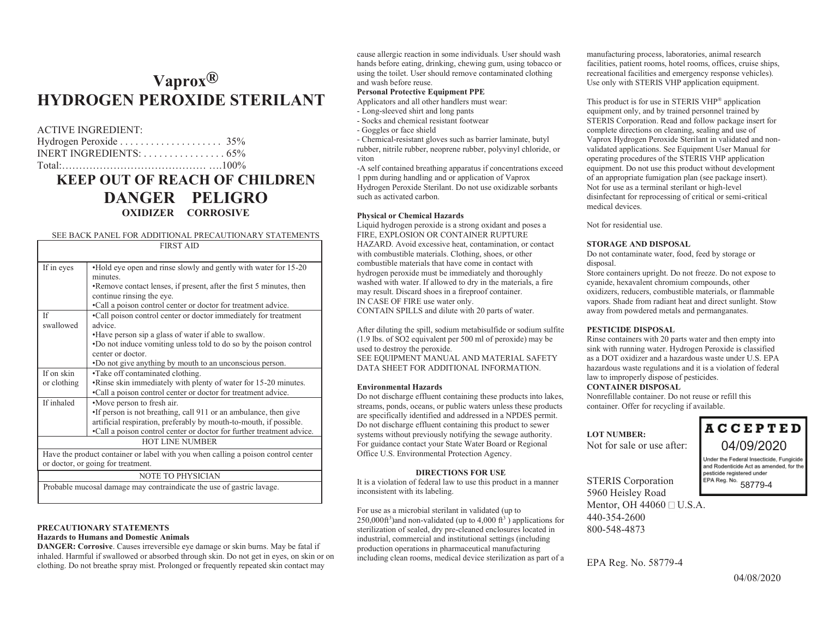### **Vaprox ® HYDROGEN PEROXIDE STERILANT**

#### ACTIVE INGREDIENT:

| INERT INGREDIENTS: $\dots\dots\dots\dots\dots\dots$ 65% |  |
|---------------------------------------------------------|--|
| $Total·$ $100\%$                                        |  |

### **KEEP OUT OF REACH OF CHILDRENDANGER PELIGRO OXIDIZER CORROSIVE**

#### SEE BACK PANEL FOR ADDITIONAL PRECAUTIONARY STATEMENTS

| FIRST AID                                                                         |                                                                       |  |  |  |  |  |
|-----------------------------------------------------------------------------------|-----------------------------------------------------------------------|--|--|--|--|--|
|                                                                                   |                                                                       |  |  |  |  |  |
| If in eyes                                                                        | •Hold eye open and rinse slowly and gently with water for 15-20       |  |  |  |  |  |
|                                                                                   | minutes.                                                              |  |  |  |  |  |
|                                                                                   | •Remove contact lenses, if present, after the first 5 minutes, then   |  |  |  |  |  |
|                                                                                   | continue rinsing the eye.                                             |  |  |  |  |  |
|                                                                                   | •Call a poison control center or doctor for treatment advice.         |  |  |  |  |  |
| Ιf                                                                                | •Call poison control center or doctor immediately for treatment       |  |  |  |  |  |
| swallowed                                                                         | advice.                                                               |  |  |  |  |  |
|                                                                                   | . Have person sip a glass of water if able to swallow.                |  |  |  |  |  |
|                                                                                   | •Do not induce vomiting unless told to do so by the poison control    |  |  |  |  |  |
|                                                                                   | center or doctor.                                                     |  |  |  |  |  |
|                                                                                   | . Do not give anything by mouth to an unconscious person.             |  |  |  |  |  |
| If on skin                                                                        | •Take off contaminated clothing.                                      |  |  |  |  |  |
| or clothing                                                                       | •Rinse skin immediately with plenty of water for 15-20 minutes.       |  |  |  |  |  |
|                                                                                   | •Call a poison control center or doctor for treatment advice.         |  |  |  |  |  |
| If inhaled                                                                        | •Move person to fresh air.                                            |  |  |  |  |  |
|                                                                                   | •If person is not breathing, call 911 or an ambulance, then give      |  |  |  |  |  |
|                                                                                   | artificial respiration, preferably by mouth-to-mouth, if possible.    |  |  |  |  |  |
|                                                                                   | •Call a poison control center or doctor for further treatment advice. |  |  |  |  |  |
| <b>HOT LINE NUMBER</b>                                                            |                                                                       |  |  |  |  |  |
| Have the product container or label with you when calling a poison control center |                                                                       |  |  |  |  |  |
| or doctor, or going for treatment.                                                |                                                                       |  |  |  |  |  |
| <b>NOTE TO PHYSICIAN</b>                                                          |                                                                       |  |  |  |  |  |
| Probable mucosal damage may contraindicate the use of gastric lavage.             |                                                                       |  |  |  |  |  |
|                                                                                   |                                                                       |  |  |  |  |  |

#### **PRECAUTIONARY STATEMENTS**

#### **Hazards to Humans and Domestic Animals**

**DANGER: Corrosive**. Causes irreversible eye damage or skin burns. May be fatal if inhaled. Harmful if swallowed or absorbed through skin. Do not get in eyes, on skin or on clothing. Do not breathe spray mist. Prolonged or frequently repeated skin contact may

cause allergic reaction in some individuals. User should wash hands before eating, drinking, chewing gum, using tobacco or using the toilet. User should remove contaminated clothing and wash before reuse.

#### **Personal Protective Equipment PPE**

Applicators and all other handlers must wear:

- Long-sleeved shirt and long pants
- Socks and chemical resistant footwear
- Goggles or face shield

- Chemical-resistant gloves such as barrier laminate, butyl rubber, nitrile rubber, neoprene rubber, polyvinyl chloride, or viton

-A self contained breathing apparatus if concentrations exceed 1 ppm during handling and or application of Vaprox Hydrogen Peroxide Sterilant. Do not use oxidizable sorbants such as activated carbon.

#### **Physical or Chemical Hazards**

Liquid hydrogen peroxide is a strong oxidant and poses a FIRE, EXPLOSION OR CONTAINER RUPTURE HAZARD. Avoid excessive heat, contamination, or contact with combustible materials. Clothing, shoes, or other combustible materials that have come in contact with hydrogen peroxide must be immediately and thoroughly washed with water. If allowed to dry in the materials, a fire may result. Discard shoes in a fireproof container.

IN CASE OF FIRE use water only.

CONTAIN SPILLS and dilute with 20 parts of water.

After diluting the spill, sodium metabisulfide or sodium sulfite (1.9 lbs. of SO2 equivalent per 500 ml of peroxide) may be used to destroy the peroxide. SEE EQUIPMENT MANUAL AND MATERIAL SAFETY

DATA SHEET FOR ADDITIONAL INFORMATION.

#### **Environmental Hazards**

Do not discharge effluent containing these products into lakes, streams, ponds, oceans, or public waters unless these products are specifically identified and addressed in a NPDES permit. Do not discharge effluent containing this product to sewer systems without previously notifying the sewage authority. For guidance contact your State Water Board or Regional Office U.S. Environmental Protection Agency.

#### **DIRECTIONS FOR USE**

 It is a violation of federal law to use this product in a manner inconsistent with its labeling.

For use as a microbial sterilant in validated (up to  $250,000$ ft<sup>3</sup>) and non-validated (up to 4,000 ft<sup>3</sup>) applications for sterilization of sealed, dry pre-cleaned enclosures located in industrial, commercial and institutional settings (including production operations in pharmaceutical manufacturing including clean rooms, medical device sterilization as part of a

manufacturing process, laboratories, animal research facilities, patient rooms, hotel rooms, offices, cruise ships, recreational facilities and emergency response vehicles). Use only with STERIS VHP application equipment.

This product is for use in STERIS VHP® application equipment only, and by trained personnel trained by STERIS Corporation. Read and follow package insert for complete directions on cleaning, sealing and use of Vaprox Hydrogen Peroxide Sterilant in validated and nonvalidated applications. See Equipment User Manual for operating procedures of the STERIS VHP application equipment. Do not use this product without development of an appropriate fumigation plan (see package insert). Not for use as a terminal sterilant or high-level disinfectant for reprocessing of critical or semi-critical medical devices.

Not for residential use.

#### **STORAGE AND DISPOSAL**

Do not contaminate water, food, feed by storage or disposal.

Store containers upright. Do not freeze. Do not expose to cyanide, hexavalent chromium compounds, other oxidizers, reducers, combustible materials, or flammable vapors. Shade from radiant heat and direct sunlight. Stow away from powdered metals and permanganates.

#### **PESTICIDE DISPOSAL**

 Rinse containers with 20 parts water and then empty into sink with running water. Hydrogen Peroxide is classified as a DOT oxidizer and a hazardous waste under U.S. EPA hazardous waste regulations and it is a violation of federal law to improperly dispose of pesticides.

#### **CONTAINER DISPOSAL**

Nonrefillable container. Do not reuse or refill this container. Offer for recycling if available.

#### **LOT NUMBER:**

Not for sale or use after:

**ACCEPTED** 04/09/2020

Under the Federal Insecticide, Fungicide and Rodenticide Act as amended, for the pesticide registered under pesticials<br>EPA Reg. No.<br>58779-4

STERIS Corporation 5960 Heisley Road Mentor, OH  $44060 \square$  U.S.A. 440-354-2600800-548-4873

EPA Reg. No. 58779-4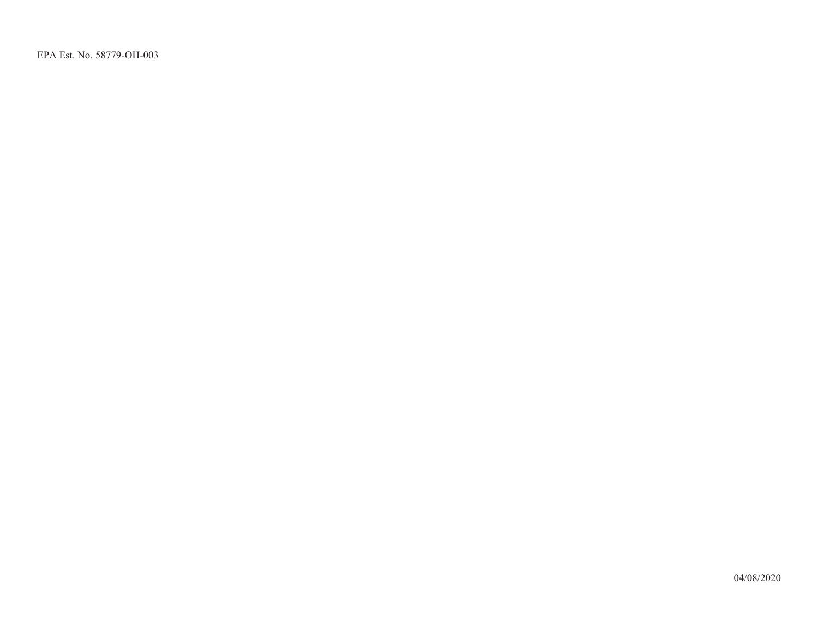EPA Est. No. 58779-OH-003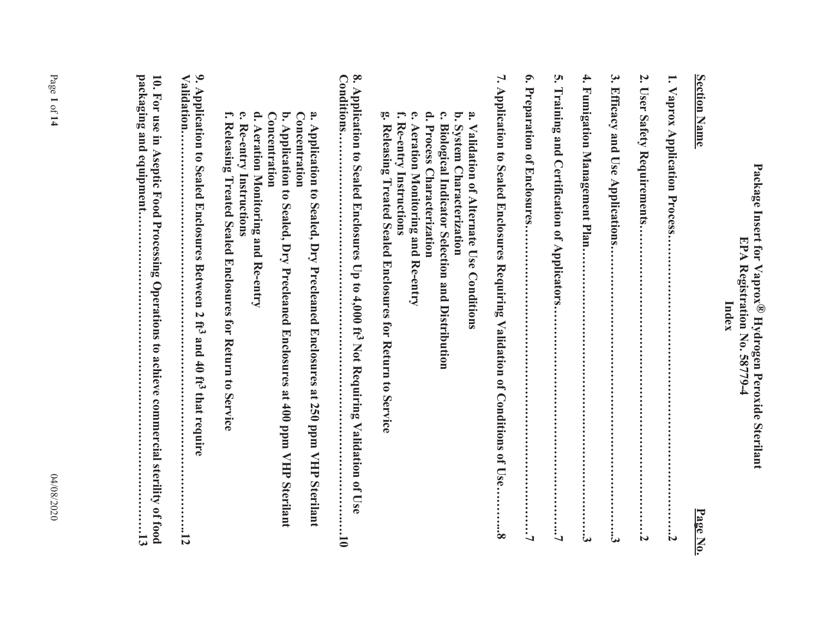# **Package Insert for Vaprox® Hydrogen Peroxide Sterilant EPA Registration No. 58779-4**  Package Insert for Vaprox® Hydrogen Peroxide Sterilant<br>**ISPA Registration No. 58779-4**<br>Index Index

| <b>Section Name</b><br>Page No.                                                                                                                                                                                                                                                                                                                                       |
|-----------------------------------------------------------------------------------------------------------------------------------------------------------------------------------------------------------------------------------------------------------------------------------------------------------------------------------------------------------------------|
| $\mathbf{\mathbf{\mathsf{I}}}%$<br>Vaprox Application Process                                                                                                                                                                                                                                                                                                         |
| Z.<br><b>User Safety Requirements</b><br>Z                                                                                                                                                                                                                                                                                                                            |
| $\mathbf{\hat{5}}$<br>Efficacy and Use Applications.<br>:<br>نئا                                                                                                                                                                                                                                                                                                      |
| 4.<br>Fumigation Management Plan                                                                                                                                                                                                                                                                                                                                      |
| ίń,<br>Training and Certification of Applicators.<br>$\vdots$                                                                                                                                                                                                                                                                                                         |
| $\bullet$<br>Preparation of Enclosures<br>$\vdots$                                                                                                                                                                                                                                                                                                                    |
| 7. Application to Sealed Enclosures Requiring Validation of Conditions of Use.<br>$\vdots$                                                                                                                                                                                                                                                                            |
| $\mathbf{\hat{c}}$<br>$\mathbf{P}$<br>$\mathbf{c}$<br>ä.<br><b>أنَّ</b><br>f.<br>b. System Characterization<br>Re-entry Instructions<br>Aeration Monitoring and Re-entry<br><b>Biological Indicator Selection and Distribution</b><br>Releasing Treated Sealed Enclosures for Return to Service<br>Process Characterization<br>Validation of Alternate Use Conditions |
| 8. Application to Sealed Enclosures Up to 4,000 ft <sup>3</sup> Not Requiring Validation of Use<br>Conditions<br>5                                                                                                                                                                                                                                                    |
| a. Application<br>Concentration<br>b. Application to Sealed, Dry Precleaned Enclosures at 400 ppm VHP Sterilant<br>Concentration<br>to Sealed, Dry Precleaned Enclosures at 250 ppm VHP Sterilant                                                                                                                                                                     |
| d. Aeration Monitoring and Re-entry<br>f.<br>Ω.<br>Releasing Treated Sealed Enclosures for Return to Service<br>Re-entry Instructions                                                                                                                                                                                                                                 |
| 9. Application to Sealed Enclosures Between 2 ft3 and 40 ft3 that require<br>Validation.<br>$\overline{5}$                                                                                                                                                                                                                                                            |
| packaging and equipment<br>10. For use in Aseptic Food Processing Operations to achieve commercial sterility of food<br>$\mathbf{5}$                                                                                                                                                                                                                                  |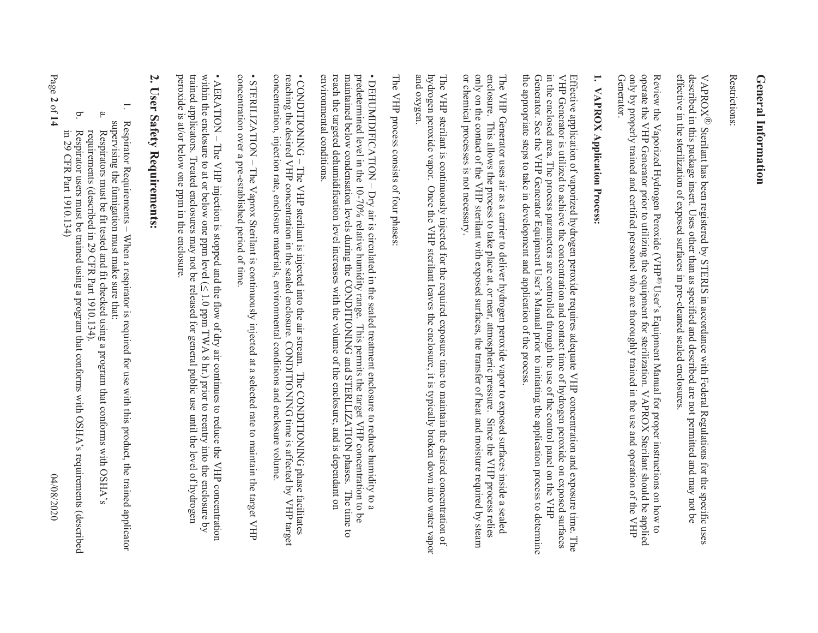## **General Information General Information**

Restrictions: Restrictions:

effective in the sterilization of exposed surfaces in pre-cleaned sealed enclosures. VAPROX<sup>®</sup> Sterilant has been registered by STERIS in accordance with Federal Regulations for the specific uses<br>described in this package insert. Uses other than as specified and described are not permitted and may not be effective in the sterilization of exposed surfaces in pre-cleaned sealed enclosures. described in this package insert. Uses other than as specified and described are not permitted and may not be ® Sterilant has been registered by STERIS in accordance with Federal Regulations for the specific uses

operate the VHP Generator prior to utilizing the equipment for sterilization. VAPROX Sterilant should be applied<br>only by properly trained and certified personnel who are thoroughly trained in the use and operation of the V Review the Vaporized Hydrogen Peroxide (VHP®)User's Equipment Manual for proper instructions on how to only by properly trained and certified personnel who are thoroughly trained in the use and operation of the VHP operate the VHP Generator prior to utilizing the equipment for sterilization. VAPROX Sterilant should be applied Review the Vaporized Hydrogen Peroxide (VHP  $\mathsf{B}$  eview the Vanonized Hudwan peroxide (VIH $\mathsf{B}^{(8)}$ ) User's Equipment Manual for proper instructions on how to

### $\mathbf{H}$ **1. VAPROX Application Process:**  VAPROX Application Process:

the appropriate steps to take in development and application of the process. Generator. See the VHP Generator Equipment User's Manual prior to initiating the application process to determine in the enclosed area. The process parameters are controlled through the use of the control panel on the VHP Effective application of vaporized hydrogen peroxide requires adequate VHP concentration and exposure time. The<br>VHP Generator is utilized to achieve the concentration and contact time of hydrogen peroxide on exposed surfac the appropriate steps to take in development and application of the process. Generator. See the VHP Generator Equipment in the enclosed area. The process parameters are controlled through the use of the control panel on the VHP VHP Generator is utilized to achieve the concentration and contact time of hydrogen peroxide on exposed surfaces Effective application of vaporized hydrogen peroxide requ Manual prior to initiating the application process to determine ires adequate VHP concentration and exposure time. The

only on the contact of the VHP sterilant with exposed surfaces, the transfer of heat and moisture required by steam or chemical processes is not necessary enclosure. The VHP Generator uses air as a carrier to deliver hydrogen peroxide vapor to exposed surfaces inside a sealed or chemical processes is not necessary. only on the contact of the VHP sterilant with exposed surfaces, the transfer of heat and moisture required by steam enclosure. This allows the process to take place at, or near, atmospheric pressure. Since the VHP process relies The VHP Generator uses air as a carrier to deliver hydrogen peroxide vapor to exposed surfaces inside a sealed This allows the process to take place at, or near, atmospheric pressure. Since the VHP process relies

and oxygen. hydrogen peroxide vapor. Once the VHP sterilant leaves the enclosure, it is typically broken down into water vapor The VHP sterilant is continuously injected for the required exposure time to maintain the desired concentration of and oxygen. hydrogen peroxide vapor. Once the VHP sterilant leaves the enclosure, it is typically broken down into water vapor The VHP sterilant is con tinuously injected for the required exposure time to maintain the desired concentration of

The VHP process consists of four phases The VHP process consists of four phases:

predetermined level in the 10-70% relative humidity range. This permits the target VHP concentration to be maintained below condensation levels during the CONDITIONING and STERILIZATION phases. The time to maintained below environmental conditions. reach the targeted dehumidification level increases with the volume of the enclosure, and is dependant on environmental conditions. reach the targeted dehumidification level increases with the volume of the enclosure, and is dependant on maintained below condensation levels during the CONDITIONING and STERILIZATION phases. The time to predetermined level in the 10-70% relative humidity range. This permits the target VHP concentration to be • DEHUMIDIFICATION – DEHUMIDIFICATION-- Dry air is circulated in the sealed treatment enclosure to reduce humidity to a Dry air is circulated in the sealed treatment enclosure to reduce humidity to a

reaching the desired VHP concentration in the sealed enclosure. CONDITIONING time is affected by concentration, injection rate, enclosure materials, environmental conditions and enclosure volume • CONDITIONING - The VHP sterilant is injected into the air stream. The CONDITIONING phase facilitates concentration, injection rate, enclosure materials, environmental conditions and enclosure volume. reaching the desired VHP concentration in the sealed enclosure. CONDITIONING time is affected by VHP target • CONDITIONING – The VHP sterilant is injected into the air stream. The CONDITIONING phase facilitates VHP target

concentration over a pre-established period of time. concentration over a pre-established period of time. • STERILIZATION –STERILIZATION - The Vaprox Sterilant is continuously injected at a selected rate to maintain the target VHP The Vaprox Sterilant is continuously injected at a selected rate to maintain the target VHP

within the enclosure to at or below one ppm level  $(\leq 1.0$  ppm TWA 8 hr.) prior to reentry into the enclosure by peroxide is at/or below one ppm in the enclosure trained applicators. Treated enclosures may not be released for general public use until the level of hydrogen peroxide is at/or below one ppm in the enclosure. trained applicators. Treated enclosures may not be released for general public use until the level of hydrogen within the enclosure to at or below one ppm level ( $\land$  1.0 ppm TWA 8 hr.) prior to reentry into the enclosure by • AERATION – AERATION - The VHP injection is stopped and the flow of dry air continues to reduce the VHP concentration The YHP concentration is stopped and the flow of dry air continues to reduce the vHP concentration.

### Z. **2. User Safety Requirements: User Safety Requirements:**

- 1. Respirator Requirements Respirator Requirements - When a respirator is required for use with this product, the trained applicator When a respirator is required for use with this product, the trained applicator supervising the fumigation must make sure that:
- supervising the funnigation must make sure that:<br>a. Respirators must be fit tested and fit checked Respirators must be fit tested and fit checked using a program that conforms with OSHA's Respirators must be fit tested and fit checked using a program that conforms with OSHA's
- b. Respirator users must be trained using a program that conforms with OSHA's requirements (described requirements (described in 29 CFR Part 1910.134). Respirator users must be trained using a program that conforms with OSHA's requirements (described requirements (described in 29 CFR Part 1910.134).

in 29 CFR Part 1910.134)

in 29 CFR Part 1910.134)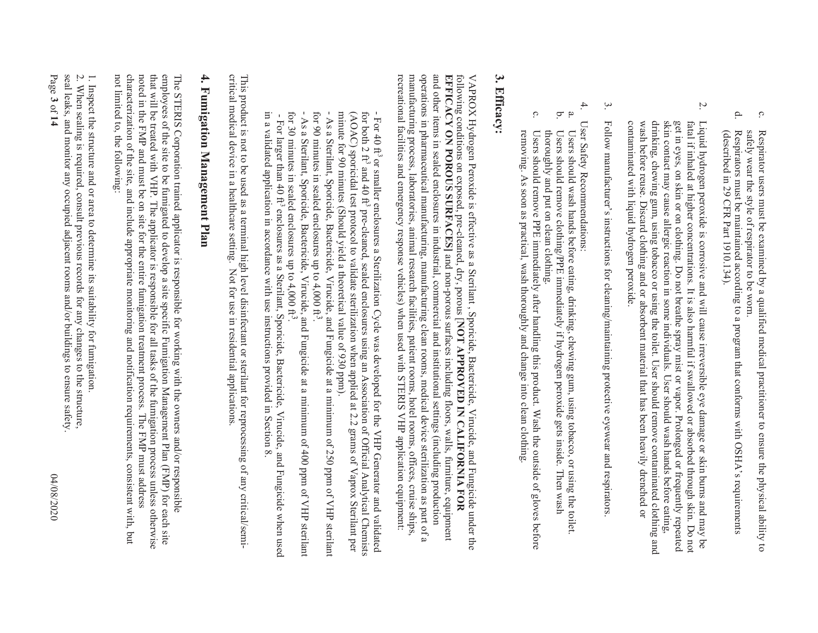- c. safely wear the style of respirator to be worn. Respirator users must be examined by a qualified medical practitioner to ensure the physical ability to safely wear the style of respirator to be worn. Respirator users must be examined by a qualified medical practitioner to ensure the physical ability to
- d. Respirators must be maintained according to a program that conforms with OSHA's requirements (described in 29 CFR Part 1910.134). (described in 29 CFR Part 1910.134). Respirators must be maintained according to a program that conforms with OSHA's requirements
- $\sim$ contaminated with liquid hydrogen peroxide. drinking, chewing gum, using tobacco or using the toilet. User should remove contaminated clothing and wash before reuse. skin contact may cause allergic reaction in some individuals. User should wash hands before eating, get in eyes, on skin or on clothing. Do not breathe spray mist or vapor. Prolonged or frequently repeated tatal it, inhaled at higher concentrations. It is also harmful it, swallowed or absorbed through skin. Uo not Liquid hydrogen peroxide is corrosive and will cause irreversible eye damage or skin burns and may be contaminated with liquid hydrogen peroxide. wash before reuse. Discard clothing and or absorbent material that has been heavily drenched or drinking, chewing gum, using topacco or using the toilet. User should remove contaminated clothing and skin contact may cause allergic reaction in some individuals. User should wash hands before eating, get in eyes, on skin or on clothing. Do not breathe spray mist or vapor. Prolonged or frequently repeated fatal if inhaled at higher concentrations. It is also harmful if swallowed or absorbed through skin. Do not Liquid hydrogen peroxide is corrosive and will cause irreversible eye damage or skin burns and may be Discard clothing and or absorbent material that has been heavily drenched or
- 3. Follow manufacturer's instructions for cleaning/maintaining protective eyewear and respirators Follow manufacturer's instructions for cleaning/maintaining protective eyewear and respirators.
- 4. User Safety Recommendations: User Safety Recommendations:
- $\dot{\mathbf{a}}$  is Users should remove clothing/PPE immediately if hydrogen peroxide gets inside. Then wash Users should wash hands before eating, drinking, chewing gum, using tobacco, or using the toilet. thoroughly and put on clean clothing. Users should remove clothing/PPE immediately if hydrogen peroxide gets inside. Then wash Users should wash hands before eating, drinking, chewing gum, using tobacco, or using the toilet.
- c. removing. As soon as practical, wash thoroughly and change into clean clothing Users should remove PPE immediately after handling this product. Wash the outside of gloves before thoroughly and put on clean clothing. removing. As soon as practical, wash thoroughly and change into clean clothing.  $U$ sers should remove PPE immediately after handling this product. Wash the outside of gloves petore

### 3. Efficacy: **3. Efficacy:**

operations in pharmaceutical manufacturing, manufacturing clean rooms, medical device sterilization as part of a and other items in sealed enclosures in industrial, commercial and institutional settings (including production recreational facilities and emergency response vehicles) when used with STERIS VHP application equipment: manufacturing process, laboratories, animal research facilities, patient rooms, hotel rooms, offices, cruise ships, EFFICACY ON POROUS SURFACES] and non-porous surfaces including floors, walls, furniture, equipment following conditions on exposed, pre-cleaned, dry, porous [NOT APPROVED IN CALIFORNIA FOR recreational facilities and emergency response vehicles) when used with STERIS VHP application equipment: manufacturing process, laboratories, animal research facilities, patient rooms, hotel rooms, offices, cruise ships, operations in pharmaceutical manufacturing, manufacturing clean rooms, medical device sterilization as part of a and other items in sealed enclosures in industrial, commercial and institutional settings (including production **EFFICACY ON POROUS SURFACES]** following conditions on exposed, pre-cleaned, dry, porous [**NOT APPROVED IN CALIFORNIA FOR**  VAPROX Hydrogen Peroxide is effective as a Sterilant , Sporicide, Bactericide, Virucide, and Fungicide under the VAPROX Hydrogen Peroxide is effective as a Sterilant , and non-porous surfaces including floors, walls, furniture, equipment Sporicide, Bactericide, Virucide, and Fungicide under the

- minute for 90 minutes (Should yield a theoretical value of 930 ppm). (AOAC) sporicidal test protocol to validate sterilization when applied at 2.2 grams of Vaprox Sterilant per minute for 90 minutes (Should yield a theoretical value of 930 ppm). (AOAC) sporicidal test protocol to validate sterilization when applied at 2.2 grams of Vaprox Sterilar per  $(30\text{ N})$ for both 2 ft<sup>3</sup> - For 40 fts or smaller enclosures a Sterilization Cycle was developed for the VHP Generator and validated and 40  $\mbox{ft}^3$ pre-cleaned, sealed enclosures using an Association of Official Analytical Chemists
- for 90 minutes in sealed enclosures up to  $4,000$  ft<sup>3</sup>. - As a Sterilant, Sporicide, Bactericide, Virueide, and Fungicide at a minimum of 250 ppm of VHP sterilant - As a Sterilant, Sporicide, Bactericide, Virucide, and Fungicide at a minimum of 250 ppm of VHP sterilant
- for 90 minutes in sealed enclosures up to 4,000 ft<sup>3</sup>.<br>- As a Sterilant, Sporicide, Bactericide, Virucide, and Fungicide at a minimum of 400 ppm of VHP sterilant for 30 minutes in sealed enclosures up to  $4,000 \text{ ft}^3$ for 30 minutes in sealed enclosures up to 4,000 ft3. - As a Sterilant, Sporicide, Bactericide, Virucide, and Fungicide at a minimum of 400 ppm of VHP sterilant
- in a validated application in accordance with use instructions provided in Section in a validated application in accordance with use instructions provided in Section 8. - For larger than 40  $\text{ft}^3$ For larger than 40 ft<sup>3</sup> enclosures as a Sterilant, Sporicide, Bactericide, Virucide, and Fungicide when used enclosures as a Sterilant, Sporicide, Bactericide, Virucide, and Fungicide when used  $\infty$

critical medical device in a healthcare setting. Not for use in residential applications. This product is not to be used as a terminal high level disinfectant or sterilant for reprocessing of any critical/semicritical medical device in a healthcare setting. Not for use in residential applications. This product is not to be used as a terminal high level disinfectant or sterilant for reprocessing of any critical/semi-

## 4. Fumigation Management Plan **4. Fumigation Management Plan**

characterization of the site, and include appropriate monitoring and notification requirements, consistent with, but that will be treated with VHP. The applicator is responsible for all tasks of the fumigation process unless otherwise<br>noted in the FMP and must be on site for the entire fumigation treatment process. The FMP must address not limited to, the following: employees of the site to be funigated to develop a site specific Funigation Management Plan (FMP) for each site The STERIS Corporation trained applicator is responsible for working with the owners and/or responsible not limited to, the following: characterization of the site, and include appropriate monitoring and notification requirements, consistent with, but noted in the FMP and must be on site for the entire fumigation treatment process. The FMP must address that will be treated with VHP. The applicator is responsible for all tasks of the fumigation process unless otherwise employees of the site to be fumigated to develop a site specific Fumigation Management Plan (FMP) for each site The STERIS Corporation trained app licator is responsible for working with the owners and/or responsible

seal leaks, and monitor any occupied adjacent rooms and/or buildings to ensure safety 2. When sealing is required, consult previous records for any changes to the structure, 1. Inspect the structure and or area to determine its suitability for fumigation Page **3**seal leaks, and monitor any occupied adjacent rooms and/or buildings to ensure safety. 2. When sealing is required, consult previous records for any changes to the structure, 1. Inspect the structure and or area to of **14** 04/08/2020 determine its suitability for fumigation.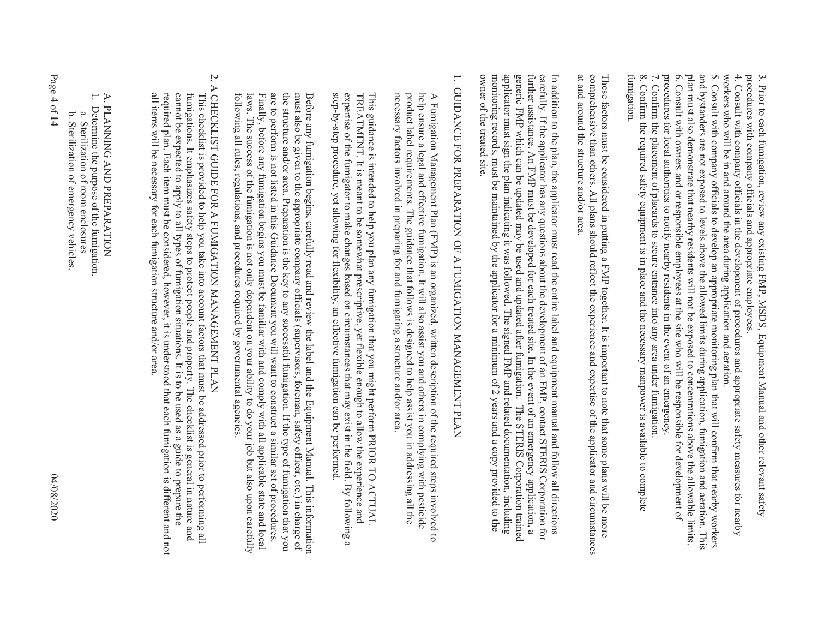procedures with company officials and appropriate employees 3. Prior to each fumigation, review any existing FMP, MSDS, Equipment Manual and other relevant safety procedures with company officials and appropriate employees. 3. Prior to each fumigation, review any existing FMP, MSDS, Equipment Manual and other relevant safety

4. Consult with company officials in the development of procedures and appropriate safety measures for nearby workers who will be in and around the area during application and aeration. 4. Consult with company offi cials in the development of procedures and appropriate safety measures for nearby

and bystanders are not exposed to levels above the allowed limits during application, fumigation and aeration. This 6. Consult with owners and or responsible employees at the site who will be responsible for development of plan must also demonstrate that nearby residents will not be exposed to concentrations above the allowable limits. 6. Consult with owners and or responsible employees at the site who will be responsible for development of plan must also demonstrate that nearby residents will not be exposed to concentrations above the allowable limits. and bystanders are not exposed to levels above the allowed limits during application, fumigation and aeration. This 5*.* Consult with company officials to develop an appropriate monitoring plan that will confirm that nearby workers

procedures for local authorities to notify nearby residents in the event of an emergency. 7. Confirm the placement of placards to secure entrance into any area under fumigation. procedures for local authorities to notify nearby residents in the event of an emergency. 7. Confirm the placement of placards to secure entrance into any area under fumigation.

8. Confirm the required safety equipment is in place and the necessary manpower is a valued to complete to complete 8. Confirm the required safety equipment is in place and the necessary manpower is available to complete<br>fumigation.

at and around the structure and/or area. comprehensive than others. All plans should reflect the experience and expertise of the applicator and circumstances These factors must be considered in putting a FMP together. It is important to note that some plans will be more at and around the structure and/or area. comprehensive than others. All plans should reflect the experience and expertise of the applicator and circumstances These factors must be considered in putting a FMP together. It is important to note that some plans will be more

applicator must sign the plan indicating it was followed. The signed FMP and related documentation, including carefully. If the applicator has any questions about the development of an FMP, contact STERIS Corporation for owner of the treated site. monitoring records, must be maintained by the applicator for a minimum of 2 years and a copy provided to the generic FMP which can be updated may be used and updated after fumigation. The STERIS Corporation trained further assistance. An FMP must be developed for each treated site. In the event of an emergency application, a In addition to the plan, the applicator must read the entire label and equipment manual and follow all directions owner of the treated site. monitoring records, must be maintained by the applicator for a minimum of 2 years and a copy provided to the applicator must sign the plan indicating it was followed. The signed FMP and related documentation, including generic FMP which can be updated may be used and updated after fumigation. The STERIS Corporation trained further assistance. An FMP must be developed for each treated site. In the event of an emergency application, a carefully. If the applicator has any questions about the development of an FMP, contact STERIS Corporation for In addition to the plan, the applicator must read the entire label and equipment manual and follow all directions

# $\overline{\cdot}$ 1. GUIDANCE FOR PREPARATION OF A FUMIGATION MANAGEMENT PLAN

necessary factors involved in preparing for and fumigating a structure and/or area. product label requirements. The guidance that follows is designed to help assist you in addressing all the help ensure a legal and effective funnigation. It will also assist you and others in complying with pesticide A Fumigation Management Plan (FMP) is an organized, written description of the required steps involved to necessary factors involved in preparing for and fumigating a structure and/or area. product label requirements. The guidance that follows is designed to help assist you in addressing all the help ensure a legal and effective fumigation. It will also assist you and others in complying with pesticide A Fumigation Management Plan (FMP) is an organized, wr itten description of the required steps involved to

 This guidance is intended to help you plan any fumigation that you might perform PRIOR TO ACTUAL step-by-step procedure, yet allowing for flexibility, an effective fumigation can be performed expertise of the fumigator to make changes based on circumstances that may exist in the field. By following a TREATMENT. It is meant to be somewhat prescriptive, yet flexible enough to allow the experience and This guidance is intended to help you plan any furnigation that you might perform PRIOR TO ACTUAL step-by-step procedure, yet allowing for flexibility, an effective fumigation can be performed. expertise of the fumigator to make changes based on circumstances that may exist in the field. By following a TREATMENT. It is meant to be somewhat prescriptive, yet flexible enough to allow the experience and

following all rules, regulations, and procedures required by governmental agencies Finally, before any fumigation begins you must be familiar with and comply with all applicable state and local are to perform is not listed in this Guidance Document you will want to construct a similar set of procedures. the structure and/or area. Preparation is the key to any successful fumigation. If the type of fumigation that you must also be given to the appropriate company officials (supervisors, foreman, safety officer, etc.) in charge of Before any fumigation begins, carefully read and review the label and the Equipment Manual. This information following all rules, regulations, and procedures required by governmental agencies. laws. The success of the fumigation is not only dependent on your ability to do your job but also upon carefully laws. The success of the fumigation is not only dependent on your ability to do your job but also upon carefully Finally, before any fumigation begins you must be familiar with and comply with all applicable state and local are to perform is not listed in this Guidance Document you will want to construct a similar set of procedures. the structure and/or area. Preparation is the key to any successful fumigation. If the type of fumigation that you must also be given to the appropriate company officials (supervisors, foreman, safety officer, etc.) in charge of Before any fumigation begins, carefully read and review the label and the Equipment Manual. This information

# 2. A CHECKLIST GUIDE FOR A FUMIGATION MANAGEMENT PLAN 2. A CHECKLIST GUIDE FOR A FUMIGATION MANAGEMENT PLAN

all items will be necessary for each fumigation structure and/or area. required plan. Each item must be considered, however, it is understood that each fumigation is different and not cannot be expected to apply to all types of fumigation situations. It is to be used as a guide to prepare the fumigations. It emphasizes safety steps to protect people and property. The checklist is general in nature and all items will be necessary for each fumigation structure and/or area. required plan. Each item must be considered, however, it is understood that each fumigation is different and not cannot be expected to apply to all types of fumigation situations. It is to be used as a guide to prepare the fumigations. It emphasizes safety steps to protect people and property. The checklist is general in nature and This checklist is provided to help you take into account factors that must be addressed prior to performing all This checklist is provided to help you take into account factors that must be addressed prior to performing all

## A. PLANNING AND PREPARATION<br>1. Determine the purpose of the fumiga A. PLANNING AND PREPARATION

- 1. Determine the purpose of the fumigation. Determine the purpose of the fumigation.
- a. Sterilization of room enclosures a. Sterilization of room enclosures
- b. Sterilization of emergency vehicles b. Sterilization of emergency vehicles.

Page **4**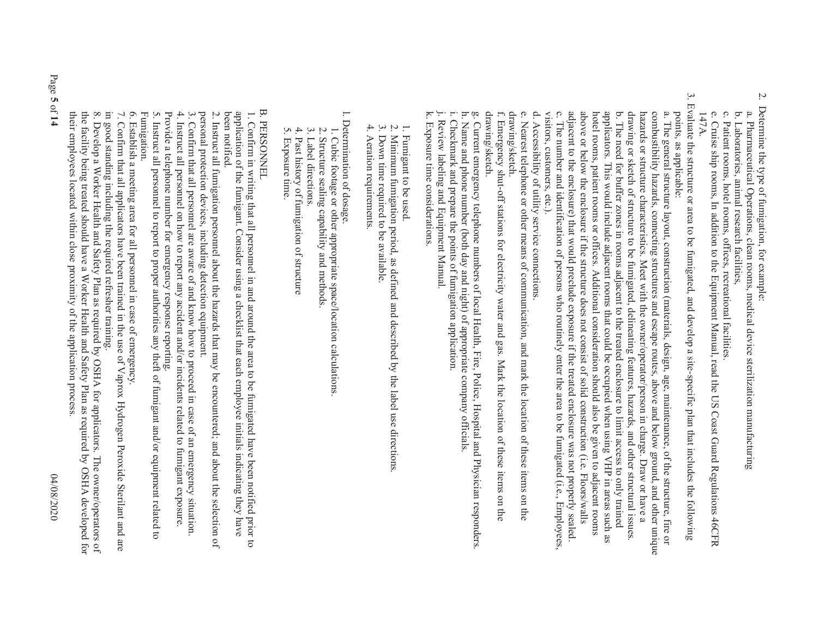- Z. 2. Determine the type of fumigation, for example: Determine the type of fumigation, for example:
- a. Pharmaceutical Operations, clean rooms, medical device sterilization manufacturing a. Pharmaceutical Operations, clean rooms, medical device sterilization manufacturing
- b. Laboratories, animal research facilities, b. Laboratories, animal research facilities,
- c. Patient rooms, hotel rooms, offices, recreational facilities. c. Patient rooms, hotel rooms, o ffices, recreational facilities.
- e. Cruise ship rooms, In addition to the Equipment Manual, read the US Coast Guard Regulations 46CFR e. Cruise ship rooms, In addition to the Equipment Manual, read the US Coast Guard Regulations 46CFR 147A.
- 3. Evaluate the structure or area to be fumigated, and develop a site-specific plan that includes the following 3. Evaluate the structure or area to be fumigated, and develop a site-specific plan that includes the following points, as applicable: points, as applicable:

 b. The need for buffer zones in rooms adjacent to the treated enclosure to limit access to only trained  $\Omega$ adjacent to the enclosure) that would preclude exposure if the treated enclosure was not properly sealed. above or below the enclosure if the structure does not consist of solid construction (i.e. Floors/walls combustibility hazards, connecting structures and escape routes, above and below ground, and other unique visitors, customers, etc.). visitors, customers, etc.). c. The number and identification of persons who routinely enter the area to be fumigated (i.e., Employees, adjacent to the enclosure) that would preclude exposure if the treated enclosure was not properly sealed. above or below the enclosure if the structure does not consist of solid construction (i.e. Floors/walls potel rooms, patient rooms or offices. Additional consideration should also be given to adjacent rooms hotel rooms, patient rooms or offices. Additional consideration should also be given to adjacent rooms applicators. This would include adjacent rooms that coupled when using VFIP in areas such as applicators. This would include adjacent rooms that could be occupied when using VHP in areas such as b. The need for buffer zones in rooms adjacent to the treated enclosure to limit access to only trained b. drawing or sketch of structure to be fumigated, delineating features, hazards, and other structural issues. drawing or sketch of structure to be fumigated, delineating features, hazards, and other structural issues. hazards or structure characteristics. Meet with the owner/operator/person in charge. Draw or have a hazards or structure characteristics. Meet with the owner/operator/person in charge. Draw or have a combustibility hazards, connecting structures and escape routes, above and below ground, and other unique a. The general structure layout, construction (materials, design, age, maintenance, of the structure, fire or a. The general structure layout, cons The number and identification of persons who routinely enter the area to be fumigated (i.e., Employees truction (materials, design, age, maintenance, of the structure, fire or

d. Accessibility of utility service connections. d. Accessibility of utili ty service connections.

 $\Omega$ drawing/sketch. drawing/sketch. e. Nearest telephone or other means of communication, and mark the location of these items on the Nearsest temperatures in the contrary and mark the location of change of change is the sequence of the sequence of the sequence of the sequence of the sequence of the sequence of the sequence of the sequence of the sequenc

drawing/sketch. drawing/sketch. f. Emergency shut-off stations for electricity water Emergency shut-off stations for electricity water and gas. Mark the location of these items on the and gas. Mark the location of these items on the

h. Name and phone number (both day and night) of appropriate company officials h. Name and phone number (both day and night) of appropriate company officials. g. Current emergency telephone numbers of local Health, Fire, Police, Hospital and Physician responders g. Current emergency telephone numbers of local Hea lth, Fire, Police, Hospital and Physician responders.

i. Checkmark and prepare the points of fumigation application. i. Checkmark and prepare the points of fumigation application.

j. Review labeling and Equipment Manual j. Review labeling and Equipment Manual.

k. Exposure time considerations. k. Exposure time considerations.

- 1. Fumigant to be used. 1. Fumigant to be used
- 2. Minimum fumigation period, as defi  $\sim$ Minimum fumigation period, as defined and described by the label use directions ned and described by the label use directions.
- 3. Down time required to be available.  $\tilde{\mathbf{c}}$ Down time required to be available.
- 4. Aeration requirements. 4. Aeration requirements.

l. Determination of dosage. l. Determination of dosage.

- 1. Cubic footage or othe 1. Cubic footage or other appropriate space/location calculations r appropriate space/location calculations.
- 2. Structure sealing capability and methods.  $\overline{C}$ Structure sealing capability and methods.
- 3. Label directions.  $\mathfrak{Q}.$ Label directions.
- 4. Past history of fumigation of structure Past history of fumigation of structure
- 5. Exposure time. 4. Past history of fi<br>5. Exposure time.

 B. PERSONNEL B. PERSONNEL

application of the fumigant. Consider using a checklist that each employee initials indicating they have 1. Confirm in writing that all personnel in and around the area to be fumigated have been notified prior to been notified been notified. application of the fumigant. Consider using a checklist that each employee initials indicating they have 1. Confirm in writing that all personnel in and around the area to be fumigated have been notified prior to

personal protection devices, including detection equipment.  $2$ . This<br>ratio funnification personnel about the bazing sthat may be encountered;<br> and about the selection of 2. Instruct all fumigation personnel about the hazards that may be encountered; and about the selection of

3. Confirm that all personnel are aware of and know how to proceed in case of an emergency situation  $3.$  Confirm that all personnel are aware of and know how to proceed in case of an emergency situation. personal protection devices, including detection equipment.

4. Instruct all personnel on how to report any accident and/or incidents related to furnigant exposure 4. Instruct all personnel on how to report any accident and/or incidents related to fumigant exposure.

5 *.* Provide a telephone number for emergency response reporting. Instruct all personnel to report to proper authorities any theft of fumigant and/or equipment related to

 Fumigation. Fumigation.

6. Establish a meeting area for all personnel in case of emergency. 6. Establish a meeting area for all personnel in case of emergency.

in good standing including the required refresher training. in good standing including the required refresher training. 7. Confirm that all applicators have been trained in the use of Vaprox Hydrogen Peroxide Sterilant and are  $7.$  Confirm that all applicators have been trained in the use of Vaprox Hydrogen Peroxide Sterilant and area of Vaprox Hydrogen Peroxide Sterilant and area of Vaproxide Sterilant and area of Vaproxide Sterilant and area

8. Develop a Worker Health and Safety Plan as required by OSHA for applicators. The owner/operators of 8. their employees located within close proximity of the application process their employees located within close proximity of the application process. the facility being treated should have a Worker Health and Safety Plan as required by OSHA developed for the facility being treated should have a Worker Health and Safety Plan as required by OSHA developed for 8. Develop a Worker Health and Safety Plan as required by OSHA for applicators. The owner/operators of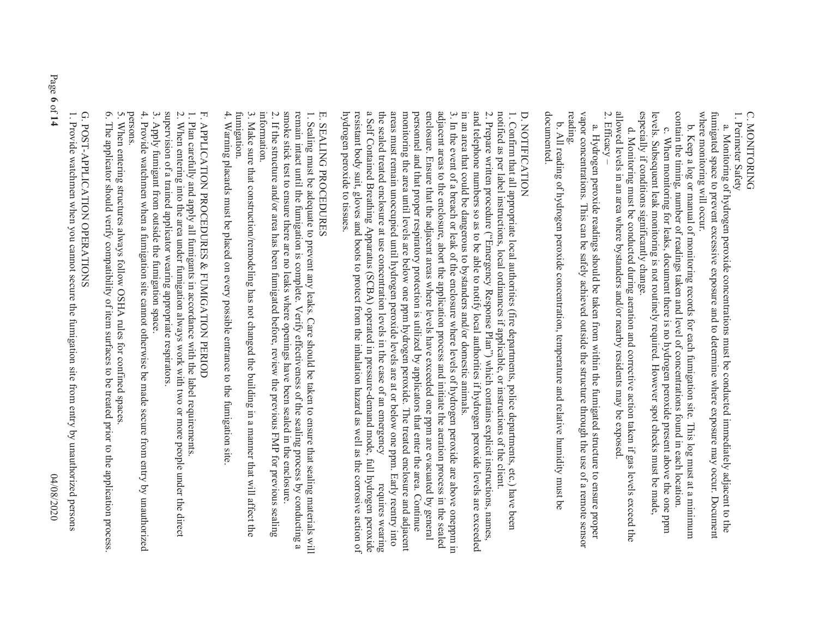C. MONITORING C. MONITORING

1. Perimeter Safety 1. Perimeter Safety

where monitoring will occur. fumigated space to prevent excessive exposure and to determine where exposure may occur. Document where monitoring will occur. fumigated space to prevent excessive exposure and to determine where exposure may occur. Document a. Monitoring of hydrogen peroxide concentr a. Monitoring of hydrogen peroxide concentrations must be conducted immediately adjacent to the ations must be conducted immediately adjacent to the

contain the timing, number of readings taken and level of concentrations found in each location. c. When monitoring for leaks, document there is no hydrogen peroxide present above the one ppm contain the timing, number of readings taken and level of concentrations found in each location. b. Keep a log or manual of monitoring record b. Keep a log or manual of monitoring records for each funnigation site. This log must at a minimum When monitoring for leaks, document there is no hydrogen peroxide present above the one ppm s for each fumigation site. This log must at a minimum

especially if conditions significantly change. especially if conditions significantly change. levels. Subsequent leak monitoring is not routinely required. However spot checks must be made levels. Subsequent leak monitoring is not routinely required. However spot checks must be made,

2. Efficacy –allowed levels in an area where bystanders and/or nearby residents may be exposed. d. Monitoring must be conducted during aer d. Monitoring must be conducted during aeration and corrective action taken if gas levels exceed the ation and corrective action taken if gas levels exceed the

vapor concentrations. This can be safely achieved outside the structure through the use of a remote sensor reading. vapor concentrations. This can be safely achieved outside the structure through the use of a remote sensor a. Hydrogen peroxide readings should be taken from within the fumigated structure to ensure proper a. Hydrogen peroxide readings should be taken from within the fumigated structure to ensure proper

documented. documented. b. All reading of hydroge b. All reading of hydrogen peroxide concentration, temperature and relative humidity must be n peroxide concentration, temperature and relative humidity must be

### D. NOTIFICATION D. NOTIFICATION.

and telephone numbers so as to be able to notify local authorities if hydrogen peroxide levels are exceeded 1. Confirm that all appropriate local authorities (fire departments, police departments, etc.) have been<br>notified as per label instructions, local ordinances if applicable, or instructions of the client. in an area that could be dangerous to bystanders and/or domestic animals in an area that could be dangerous to bystanders and/or domestic animals. and telephone numbers so as to be able to notify local authorities if hydrogen peroxide levels are exceeded 2. Prepare written procedure ("Emergency Response Plan") which contains explicit instructions, names,  $2.$  Prepare written procedure ("Emergency Response Plan") which contains explicit instructions, names,  $2$ notified as per label instructions, local ordinances if applicable, or instructions of the client. 1. Confirm that all appropriate local authorities (fire departments, police departments, etc.) have been

a Self Contained Breathing Apparatus (SCBA) operated in pressure-demand mode, full hydrogen peroxide the sealed treated enclosure at use concentration levels in the case of an emergency areas must remain unoccupied until hydrogen peroxide levels are at or below one ppm. Early reentry into enclosure. Ensure that the adjacent areas where levels have exceeded one ppm are evacuated by general adjacent areas to the enclosure, abort the application process and initiate the aeration process in the sealed 3. In the event of a breach or leak of the enclosure where levels of hydrogen peroxide are above oneppm in hydrogen peroxide to tissues. hydrogen peroxide to tissues. resistant body suit, gloves and boots to protect from the inhalation hazard as well as the corrosive action of resistant body suit, gloves and boots to protect from the inhalation hazard as well as the corrosive action of a Self Contained Breathing Apparatus (SCBA) operated in pressure-demand mode, full hydrogen peroxide the sealed treated enclosure at use concentration levels in the case of an emergency requires wearing areas must remain unoccupied until hydrogen peroxide levels are at or below one ppm. Early reentry into monitoring the area until levels are below one ppm hydrogen peroxide. The treated enclosure and adjacent monitoring the area until levels are below one ppm hydrogen peroxide. The treated enclosure and adjacent personnel and that proper respiratory protection is utilized by applicators that enter the area. Continue personnel and that proper respiratory protection is utilized by applicators that enter the area. Continue enclosure. Ensure that the adjacent areas where levels have exceeded one ppm are evacuated by general adjacent areas to the enclosure, abort the application process and initiate the aeration process in the sealed 3. In the event of a breach or leak of the enclosure where levels of hydrogen peroxide are above oneppm in requires wearing

## E. SEALING PROCEDURES E. SEALING PROCEDURES

smoke stick test to ensure there are no leaks where openings have been sealed in the enclosure. remain intact until the fumigation is complete. Verify effectiveness of the sealing process by conducting a 1. Sealing must be adequate to prevent any leaks. Care should be taken to ensure that sealing materials will information. 2. If the structure and/or area has been fumigated before, review the previous FMP for previous sealing  $2.1$  If the structure and  $\alpha$  area has been fumigated before, review the previous  $\alpha$  FMP for previous sealing  $2.7$ smoke stick test to ensure there are no leaks where openings have been sealed in the enclosure. remain intact until the fumigation is complete. Verify effectiveness of the sealing process by conducting a 1. Sealing must be adequate to prevent any leaks. Care sh ould be taken to ensure that sealing materials will

3. Make sure that construction/remodeling has not changed the building in a manner that will affect the fumigation. 3. Make sure that construction/remodeling has not chan information. ged the building in a manner that will affect the

4. Warning placards must be placed on every possible entrance to the fumigation site 4. Warning placards must be placed on every possible entrance to the fumigation site.

# F. APPLICATION PROCEDURES & FUMIGATION PERIOD F. APPLICATION PROCEDURES & FUMIGATION PERIOD

1. Plan carefully and apply all fumigants in

1. Plan carefully and apply all fumigants in accordance with the label requirements accordance with the label requirements.

supervision of a trained applicator wearing appropriate respirators. 2. When entering into the area under fumigation always work with two or more people under the direct supervision of a trained applicator wearing appropriate respirators. 2. When entering into the area under fumigation always work with two or more people under the direct

3. Apply fumigant from outside the fumigation space. 3. Apply fumigant from outside the fumigation space.

4. Provide watchmen when a fumigation site cannot otherwise be made secure from entry by unauthorized 4. Provide watchmen when a fumigation site cannot otherwise be made secure from entry by unauthorized<br>persons.

5. When entering structures always follow OSHA rules for confined spaces. When entering structures always follow OSHA rules for confined spaces.

6. The applicator should verify compatibility of item surfaces to be treated prior to the application process 6. The applicator should verify comp S. atibility of item surfaces to be treated prior to the application process.

G. POST-APPLICATION OPERATIONS G. POST-APPLICATION OPERATIONS

1. Provide watchmen when you cannot secure the fumigation site from entry by unauthorized persons 1. Provide watchmen when you cannot secure th e fumigation site from entry by unauthorized persons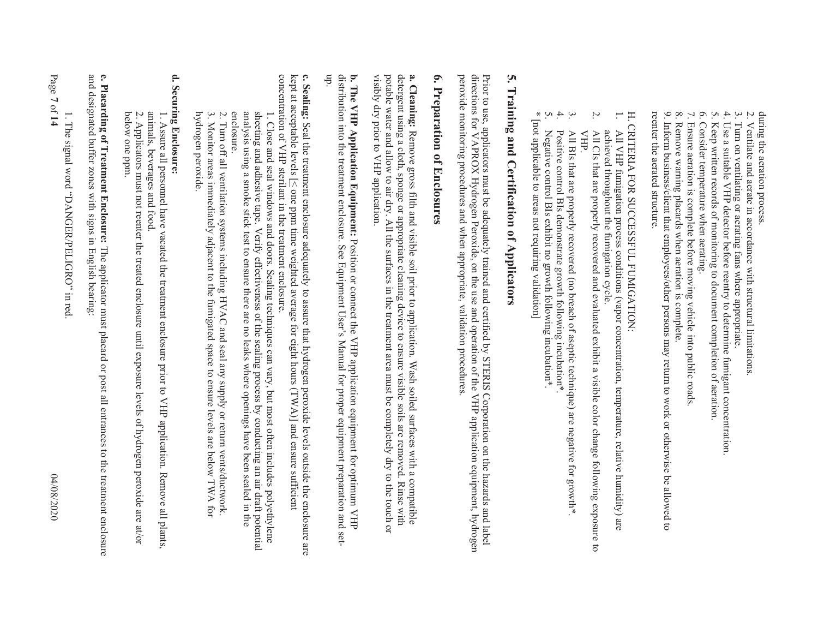during the aeration process. during the aeration process.

- 2. Ventilate and aerate in accordance with structural limitations 2. Ventilate and aerate in accord ance with structural limitations.
- 3. Turn on ventilating or aerating fans where appropriate. Turn on ventilating or aerating fans where appropriate

 $\tilde{\mathbf{c}}$ 

- 4. Use a suitable VHP detector before reentry to determine fumigant concentration 4. Use a suitable VHP detector before reentr y to determine fumigant concentration.
- 5. Keep written records of monitoring to document completion of aeration 5. Keep written records of monitoring to document completion of aeration.
- $\mathcal{O}.$ 6. Consider temperature when aerating. Consider temperature when aerating.
- 7. Ensure aeration is complete before moving vehicle into public roads 7. Ensure aeration is complete before moving vehicle into public roads.
- 8. Remove warning placards when aeration is complete. 8. Remove warning placards when aeration is complete.

reenter the aerated structure. reenter the aerated structure. 9. Inform business/client that employees/other persons may return to work or otherwise be allowed to 9. Inform business/client that employ ees/other persons may return to work or otherwise be allowed to

H. CRITERIA FOR SUCCESSFUL FUMIGATION: H. CRITERIA FOR SUCCESSFUL FUMIGATION:

- 1. All VHP fumigation process conditions (vapor concentration, temperature, relative humidity) are All VHP fumigation process conditions (vapor concentration, temperature, relative humidity) are
- 2. achieved throughout the fumigation cycle. All CIs that are properly recovered and evaluated exhibit a visible color change following exposure to VHP. All CIs that are properly recovered and evaluated exhibit a visible color change following exposure to achieved throughout the fumigation cycle.
- $\mathbf{z}$ All BIs that are properly recovered (no breach of aseptic technique) are negative for growth\*  $\overline{AT}$  BIS that are properly recovered (no breach of aseptic technique) are negative for growth\*.
- 4. Positive control BIs demonstrate growth following incubation\* Positive control BIs demonstrate growth following incubation\*.
- 5. Negative control BIs exhibit no growth following incubation\* Negative control BIs exhibit no growth following incubation\*.
- $\ast$ \* [not applicable to areas not requiring validation] [not applicable to areas not requiring validation]

## ς, **5. Training and Certification of Applicators**  Training and Certification of Applicators

directions for VAPROX Hydrogen Peroxide, on the use and operation of the VHP application equipment, hydrogen peroxide monitoring procedures and when appropriate, validation procedures. peroxide monitoring procedures and when appropriate, validation procedures. directions for VAPROX Hydrogen Peroxide, on the use and operation of the VHP application equipment, hydrogen Prior to use, applicators must be adequately trained and certified by STERIS Corporation on the hazards and label Prior to use, applicators must be ad equately trained and certified by STERIS Corporation on the hazards and label

### $\bullet$ **6. Preparation of Enclosures**  Preparation of Enclosures

visibly dry prior to VHP application. potable water and allow to air dry. All the surfaces in the treatment area must be completely dry to the touch or detergent using a cloth, sponge or appropriate cleaning device to ensure visible soils are removed. Rinse with a. Cleaning: Remove gross filth and visible soil prior to application. Wash soiled surfaces with a compatible visibly dry prior to VHP application. potable water and allow to air dry. All the surfaces in the treatment area must be completely dry to the touch or detergent using a cloth, sponge or appropriate cleaning device to ensure visible soils are removed. Rinse with **a. Cleaning:**  Remove gross filth and visible soil prior to application. Wash soiled surfaces with a compatible

**b. The VHP Application Equipment:** Position or connect the VHP application equipment for optimum VHP distribution into the treatment enclosure. See Equipment **b. The VHP Application Equipment:** Position or connect the VHP application equipment for optimum VHP distribution into the treatment enclosure. See Equipment User's Manual for proper equipment preparation and set-<br>distrib Manual for proper equipment preparation and setup.

concentration of VHP sterilant in the treatment enclosure. **c. Sealing:** Seal the treatment enclosure adequately to assure that hydrogen peroxide levels outside the enclosure are kept at acceptable levels [≤ one ppm time weighted average for eight hours (TWA)] and ensure sufficie concentration of VHP sterilant in the treatment enclosure. kept at acceptable levels  $[N]$  and  $\sigma$  pm time weight hours (TWA)] and ensure sufficient sufficient sufficient Seal the treatment enclosure adequately to assure that hydrogen peroxide levels outside the enclosure are

analysis using a smoke stick test to ensure there are no leaks where openings have been sealed in the enclosure. sheeting and adhesive tape. Verify effectiveness of the sealing process by conducting an air draft potential analysis using a smoke stick test to ensure there are no leaks where openings have been sealed in the sheeting and adhesive tape. Verify effectiveness of the sealing process by conducting an air draft potential 1. Close and seal windows and doors. Sealing techniques can vary, but most often includes polyethylene 1. Close and seal windows and doors. Sealing techniques can vary, but most often includes polyethylene

2. Turn off all ventilation systems including HVAC and seal any supply or return vents/ductwork.<br>3. Monitor areas immediately adjacent to the fumigated space to ensure levels are below TWA for 3. Monitor areas immediately adjacent to the fumigated space to the fumigated space below TWA for 2. Turn off all ventilation systems including HVAC a . Turn off all ventilation systems including HVAC and seal any supply or return vents/ductwork. nd seal any supply or return vents/ductwork.

 hydrogen peroxide. hydrogen peroxide.

### d. Securing Enclosure: **d. Securing Enclosure:**

1. Assure all personnel have vacated the treatment enclosure prior to VHP application. Remove all plants, animals, beverages and food. animals, beverages and food. 1. Assure all personnel have vacated the treatment enclosure prior to VHP application. Remove all plants,

2. Applicators must not reenter the treated enclosure until exposure levels of hydrogen peroxide are at/or below one ppm. below one ppm. 2. Applicators must not reenter the treated enclosure until exposure levels of hydrogen peroxide are at/or

e. Placarding of Treatment Enclosure: The applicator must placard or post all entrances to the treatment enclosure<br>and designated buffer zones with signs in English bearing: and designated buffer zones with signs in English bearing: **e. Placarding of Treatment Enclosure:**The applicator must placard or post all entrances to the treatment enclosure

Page **7**1. The signal word "DANGER/PELIGRO" in red The signal word "DANGER/PELIGRO" in red.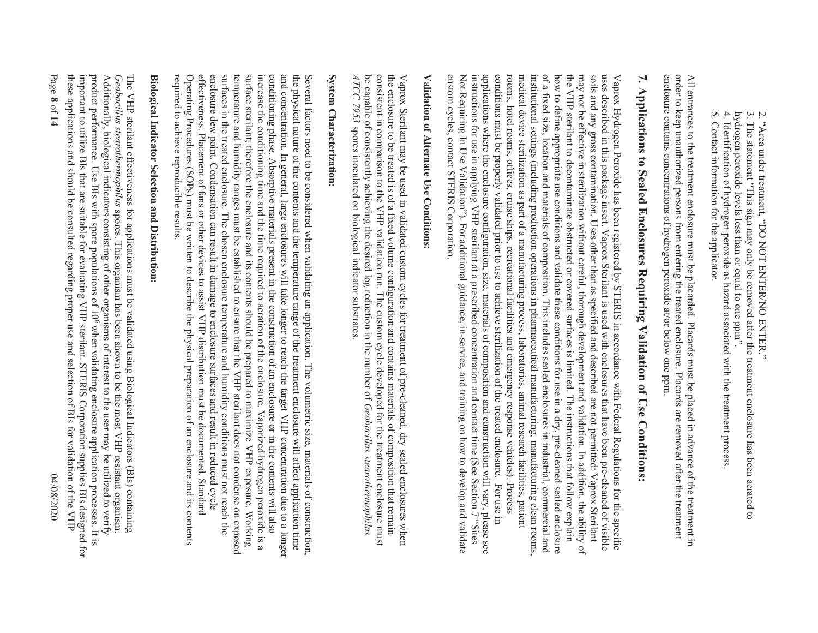2. "Area under treatment, "DO NOT ENTER/NO ENTER." 2. "Area under treatment, "DO NOT ENTER/NO ENTER."

- 3. The statement "This sign may only be removed after the treatment enclosure has been aerated to hydrogen peroxide levels less than or equal to one ppmhydrogen peroxide levels less than or equal to one ppm". 3. The statement "This sign may only be removed after the treatment enclosure has been aerated to
- 4. Identification of hydrogen peroxide as hazard associated with the treatment process 4. Identification of hydrogen peroxide as hazard associated with the treatment process.
- 5. Contact information for the applicator. 5. Contact information for the applicator.

enclosure contains concentrations of hydrogen peroxide at/or below one ppm. order to keep unauthorized persons from entering the treated enclosure. Placards are removed after the treatment All entrances to the treatment enclosure must be placarded. Placards must be placed in advance of the treatment in enclosure contains concentrations of hydrogen peroxide at/or below one ppm. order to keep unauthorized persons from entering the treated enclosure. Placards are removed after the treatment  $\overline{A}$ l entrances to the treatment enclosure must be placarded. Placards must be placed in advance of the treatment in  $\overline{A}$ 

# 7. Applications to Sealed Enclosures Requiring Validation of Use Conditions: **7. Applications to Sealed Enclosures Requiring Validation of Use Conditions:**

applications where the enclosure configuration, size, materials of composition and construction will vary, please see instructions for use in applying VHP sterilant at a prescribed concentration and contact time (See Secti uses described in this package insert. Vaprox Sterilant is used with enclosures that have been pre-cleaned of visible custom cycles, contact STERIS Corporation. conditions must be properly validated prior to use to achieve sterilization of the treated enclosure. For use in rooms, hotel rooms, offices, cruise ships, recreational facilities and emergency response vehicles). Process medical device sterilization as part of a manufacturing process, laboratories, animal research facilities, patient institutional settings (including production operations in pharmaceutical manufacturing, manufacturing clean rooms, of a fixed size, location and materials of composition. This includes sealed enclosures in industrial, commercial and how to define appropriate use conditions and validate these conditions for use in a dry, pre-cleaned sealed enclosure the VHP sterilant to decontaminate obstructed or covered surfaces is limited. The instructions that follow explain may not be effective in sterilization without careful, thorough development and validation. In addition, the ability of soils and any gross contamination. Uses other than as specified and described are not permitted: Vaprox Sterilant Vaprox Hydrogen Peroxide has been registered by STERIS in accordance with Federal Regulations for the specific custom cycles, contact STERIS Corporation. Not Requiring In Use Vinstructions for use in applying VHP sterilant at a prescribed concentration and contact time (See Section 7). applications where the enclosure configuration, size, materials of composition and construction will vary, please see conditions must be properly validated prior to use to achieve sterilization of the treated enclosure. For use in rooms, hotel rooms, offices, cruise ships, recreational facilities and emergency response vehicles). Process medical device sterilization as part of a manufacturing process, laboratories, animal research facilities, patient institutional settings (including production operations in pharmaceutical manufacturing, manufacturing clean rooms, of a fixed size, location and materials of composition. This includes sealed enclosures in industrial, commercial and how to define appropriate use conditions and validate these conditions for use in a dry, pre-cleaned sealed enclosure the VHP sterilant to decontaminate obstructed or covered surfaces is limited. The instructions that follow explain may not be effective in sterilization without careful, thorough development and validation. In addition, the ability of soils and any gross contamination. Uses other than as specified and described are not permitted: Vaprox Sterilant uses described in this package insert. Vaprox Sterilant is used with enclosures that have been pre-cleaned of visible Vaprox Hydrogen Peroxide has been registered by STERIS in accordance with Federal Regulations for the specific alidation"). For additional guidance, in-service, and training on how to develop and validate

## Validation of Alternate Use Conditions: **Validation of Alternate Use Conditions:**

be capable of consistently achieving the desired log reduction in the number of *Geobacillus stearothermophilus* consistent in comparison to the VHP validation run. The custom cycle developed for the treatment enclosure must the enclosure to be treated is of a fixed volume configuration and contains materials of composition that remain  $ATCC$  7953 spores inoculated on biological indicator substrates. *ATCC 7953* be capable of consistently achieving the desired log reduction in the number of consistent in comparison to the VHP validation run. The custom cycle developed for the treatment enclosure must the enclosure to be treated is of a fixed volume configuration and contains materials of composition that remain Vaprox Sterilant may be used in validated custom cycles for treatment of pre-cleaned, dry sealed enclosures when Vaprox Sterilant may be used in validated spores inoculated on biological indicator substrates. custom cycles for treatment of pre-cleaned, dry sealed enclosures when *Geobacillus stearothermophilus* 

## System Characterization: **System Characterization:**

effectiveness. Placement of fans or other devices to assist VHP distribution must be documented. Standard enclosure dew point. Condensation can result in damage to enclosure surfaces and result in reduced cycle Operating Procedures (SOPs) must be written to describe the physical preparation of an enclosure and its contents surfaces in the treated enclosure. The chosen enclosure temperature and humidity conditions must not reach the temperature and humidity ranges must be established to ensure that the VHP sterilant does not condense on exposed surface sterilant; therefore the enclosure and its contents should be prepared to maximize VHP exposure. Working increase the conditioning time and the time required to acration of the enclosure. Vaporized hydrogen peroxide is a conditioning phase. Absorptive materials present in the construction of an enclosure or in the contents will also and concentration. In general, large enclosures will take longer to reach the target VHP concentration due to a longer the physical nature of the contents and the temperature range of the treatment enclosure will affect application time Several factors need to be considered when validating an application. The volumetric size, materials of construction, required to achieve reproducible results. Operating Procedures (SOPs) must be written to describe the physical preparation of an enclosure and its contents effectiveness. Placement of fans or other devices to assist VHP distribution must be documented. Standard enclosure dew point. Condensation can result in damage to enclosure surfaces and result in reduced cycle surfaces in the treated enclosure. The chosen enclosure temperature and humidity conditions must not reach the temperature and humidity ranges must be established to ensure that the VHP sterilant does not condense on exposed surface sterilant; therefore the enclosure and its contents should be prepared to maximize VHP exposure. Working increase the conditioning time and the time required to aeration of the enclosure. Vaporized hydrogen peroxide is a conditioning phase. Absorptive materials present in the construction of an enclosure or in the contents will also and concentration. In general, large enclosures will take longer to reach the target VHP concentration due to a longer the physical nature of the contents and the temperature range of the treatment enclosure will affect application time Several factors need to be considered when validating an application. The volumetric size, materials of construction,

## **Biological Indicator Selection and Distribution: Biological Indicator S election and Distribution:**

these applications and should be consulted regarding proper use and selection of BIs for validation of the VHP important to utilize Bls that are suitable for evaluating VHP sterilant. STERIS Corporation supplies Bls designed for product performance. Use BIs with spore populations of 10° when validating enclosure application processes. It is Additionally, biological indicators consisting of other organisms of interest to the user may be utilized to verify The VHP sterilant effectiveness for applications must be validated using Biological Indicators (BIs) containing these applications and should be consulted regarding proper use and selection of BIs for validation of the VHP important to utilize BIs that are suitable for evaluating VHP sterilant. STERIS Corporation supplies BIs designed for product performance. Use BIs with spore populations of 106 Additionally, biological indicators consisting of other organisms of interest to the user may be utilized to verify Geobacillus stearothermophilus spores. This organism has been shown to be the most VHP resistant organism. *Geobacillus stearothermophilus*The VHP sterilant effectiveness for applications must be validated using Biological Indicators (BIs) containing spores. This organism has been shown to be the most VHP resistant organism. when validating enclosure application processes. It is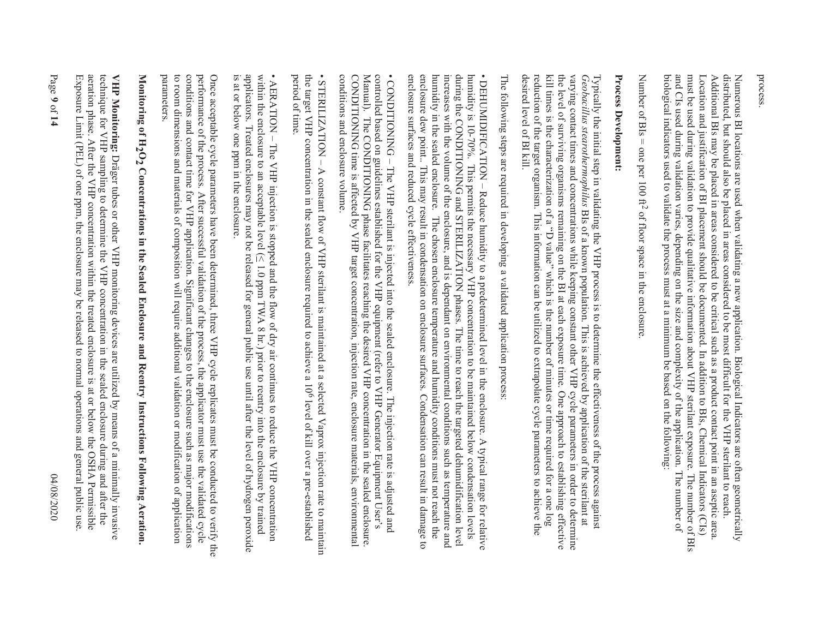process.

distributed, but should also be placed in areas considered to be most difficult for the VHP sterilant to reach.<br>Additional BIs may be placed in areas considered to be critical such as a product contact point in an aseptic biological indicators used to validate the process must at a minimum be based on the following: and CIs used during validation varies, depending on the size and complexity of the application. The number of must be used during validation to provide qualitative information about VHP sterilant exposure. The number of BIs Location and justification of BI placement should be documented. In addition to BIs, Chemical Indicators (CIs) Numerous BI locations are used when validating a new application. Biological Indicators are often geometrically biological indicators used to validate the process must at a minimum be based on the following: and CIs used during validation varies, depending on the size and complexity of the application. The number of must be used during validation to provide qualitative information about VHP sterilant exposure. The number of BIs Location and justification of BI placement should be documented. In addition to BIs, Chemical Indicators (CIs) Additional BIs may be placed in areas considered to be critical such a product contact point in an asseme to be distributed, but should also be placed in areas considered to be most difficult for the VHP sterilant to reach. Numerous BI locations are used when validating a new application. Biological Indicators are often geometrically

Number of  $BIs = one$  per 100 ft<sup>2</sup> of floor space in the enclosure Number of BIs = one per 100 ft2 of floor space in the enclosure.

### Process Development: **Process Development:**

the level of surviving organisms remaining on the BI at each exposure time. One approach to establishing effective desired level of BI kill. reduction of the target organism. This information can be utilized to extrapolate cycle parameters to achieve the kill times is the characterization of a "D value" which is the number of minutes or time required for a one log varying contact times and concentrations while keeping constant other VHP cycle parameters in order to determine Typically the initial step in validating the VHP process is to determine the effectiveness of the process against Geobacillus stear-othermophilus BIs of a known population. This is achieved by application of the sterilant desired level of BI kill. reduction of the target organism. This information can be utilized to extrapolate cycle parameters to achieve the kill times is the characterization of a "D value" which is the level of surviving organisms remaining on the BI at each exposure time. One approach to establishing effective varying contact times and concentrations while keeping constant other VHP cycle parameters in order to determine *Geobacillus stearothermophilus* Typically the initial step in validating th BIs of a known population. This is achieved by application of the sterilant at e VHP process is to determine the effectiveness of the process against the number of minutes or time required for a one log

The following steps are required in developing a validated application process The following steps are requ ired in developing a validated application process:

increases with the volume of the enclosure, and is dependant on environmental conditions such as temperature and enclosure surfaces and reduced cycle effectiveness. enclosure dew point.. This may result in condensation on enclosure surfaces. Condensation can result in damage to humidity in the sealed enclosure. The chosen enclosure temperature and humidity conditions must not reach the during the CONDITIONING and STERILIZATION phases. The time to reach the targeted dehumidification level primiticity is 10-70%. This germits the necessary NHP concentration to be maintainaded pelow condensiation levels enclosure surfaces and reduced cycle effectiveness. enclosure dew point.. This may result in condensation on enclosure surfaces. Condensation can result in damage to humidity in the sealed enclosure. The chosen enclosure temperature and humidity conditions must not reach the increases with the volume of the enclosure, and is dependant on environmental conditions such as temperature and during the CONDITIONING and STERILIZATION phases. The time to reach the targeted dehumidification level humidity is 10-70%. This permits the necessary VHP concentration to be maintained below condensation levels  $\bullet$  DEITIMIDE ICLATION – Reduce entity to a probability to a proportion of the spin of  $\bullet$  is  $\bullet$  in  $\bullet$  in  $\bullet$  in  $\bullet$  in  $\bullet$  in  $\bullet$  in  $\bullet$  in  $\bullet$  in  $\bullet$  in  $\bullet$  in  $\bullet$  in  $\bullet$  in  $\bullet$  in  $\bullet$  in  $\bullet$  in  $\bullet$  • DEHUMIDIFICATION –Reduce humidity to a predetermined level in the enclosure. A typical range for relative

Manual). The CONDITIONING phase facilitates reaching the desired VHP concentration in the sealed enclosure • CONDITIONING – The VHP sterilant is injected into the sealed enclosure. The injection rate is adjusted and controlled based on guidelines established for the VHP equipment (refer to VHP Generator Equipment User's conditions and enclosure volume. CONDITIONING time is affected by VHP target concentration, injection rate, enclosure materials, environmental conditions and enclosure volume. CONDITIONING time is affected by VHP target concentration, injection rate, enclosure materials, environmental Manual). The CONDITIONING phase facilitates reaching the desired VHP concentration in the sealed enclosure. controlled based on guidelines established for the VHP equipment (refer to VHP Generator Equipment • CONDITIONING –The VHP sterilant is injected into the sealed enclosure. The injection rate is adjusted and

the target VHP concentration in the sealed enclosure required to achieve a 10<sup>6</sup> level of kill over a pre-established period of time. period of time. the target VHP concentration in the sealed enclosure required to achieve a 106 level of kill over a pre-established • STERILIZATION – STERILIZATION - A constant flow of VHP sterilant is maintained at a selected Vaprox injection rate to maintain A constant flow of VHP sterilant is maintained at a selected Vaprox injection rate to maintain

• AERATION – The VHP injection is stopped and the flow of dry air continues to reduce the VHP concentration within the enclosure to an acceptable level ( $\leq 1.0$  ppm TWA 8 hr.) prior to reentry into the enclosure by trai is at or below one ppm in the enclosure. applicators. Treated enclosures may not be released for general public use until after the level of hydrogen peroxide is at or below one ppm applicators. Treated enclosures may not be released for general public use until after the level of hydrogen peroxide within the enclosure to an acceptable level ( $\land$  1.0 ppm TWA 8 hr.) prior to reentry into the enclosure by trained • AERATION – The VHP injection is stopped and the flow of dry air continues to reduce the VHP concentration in the enclosure.

Once acceptable cycle parameters have been determined, three VHP cycle replicates must be conducted to verify the<br>performance of the process. After successful validation of the process, the applicator must use the validate to room dimensions and materials of composition will require additional validation or modification of application<br>parameters. conditions and contact time for VHP application. Significant changes to the enclosure such as major modifications to room dimensions and materials of composition will require additional validation or modification of application conditions and contact time for VHP application. Significant changes to the enclosure such as major modifications performance of the process. After successful validation of the process, the applicator must use the validated cycle Once acceptable cycle parameters have been determined, three VHP cycle replicates must be conducted to verify the

# Monitoring of  $\rm H_2O_2$  Concentrations in the Sealed Enclosure and Reentry Instructions Following Aeration. **Monitoring of H 2O2 Concentrations in the Sealed Enclosure and Reentry Instructions Following Aeration.**

technique for VHP sampling to determine the VHP concentration in the sealed enclosure during and after the Exposure Limit (PEL) of one ppm, the enclosure may be released to normal operations and general public use. aeration phase. After the VHP concentration within the treated enclosure is at or below the OSHA Permissible VHP Monitoring: Dräger tubes or other VHP monitoring devices are utilized by means of a minimally invasive Exposure Limit (PEL) of one ppm, the enclosure may be released to normal operations and general public use. aeration phase. After the VHP concentration within the treated enclosure is at or below the OSHA Permissible technique for VHP sampling to determine the VHP concentration in the sealed enclosure during and after the **VHP Monitoring:**Dräger tubes or other VHP monitoring devices are utilized by means of a minimally invasive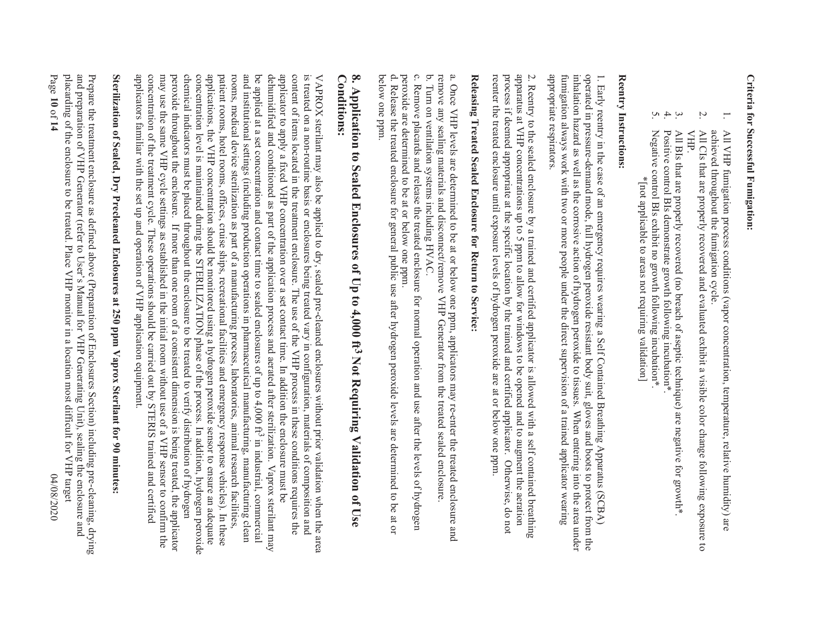## Criteria for Successful Fumigation: **Criteria for Successful Fumigation:**

- 1. achieved throughout the fumigation cycle. All VHP fumigation process conditions (vapor concentration, temperature, relative humidity) are achieved throughout the fumigation cycle. All VHP fumigation process conditions (vapor concentration, temperature, relative humidity) are NHV HP
- 2. VHP. All CIs that are properly recovered and evaluated exhibit a visible color change following exposure to All CIs that are properly recovered and evaluated exhibit a visible color change following exposure to
- 3. All BIs that are properly recovered (no breach of aseptic technique) are negative for growth\*  $\overline{A}$ l B $\overline{B}$  is that are properly recovered (no breach of aseptic technique) are negative for growth\*.
- $\div$  5. Positive control BIs demonstrate growth following incubation\* Positive control BIs demonstrate growth following incubation\*.
- Negative control BIs exhibit no growth following incubation\* Negative control BIs exhibit no growth following incubation\*. \*[not applicable to areas not requiring validation] \*[not applicable to areas not requiring validation]

### Reentry Instructions: **Reentry Instructions:**

operated in pressure-demand mode, full hydrogen peroxide resistant body suit, gloves and boots to protect from the appropriate respirators. fumigation always work with two or more people under the direct supervision of a trained applicator wearing inhalation hazard as well as the corrosive action of hydrogen peroxide to tissues. When entering into the area under 1. Early reentry in the case of an emergency requires wearing a Self Contained Breathing Apparatus (SCBA) appropriate respirators. fumigation always work with two or more people under the direct supervision of a trained applicator wearing inhalation hazard as well as the corrosive action of hydrogen peroxide to tissues. When entering into the area under operated in pressure-demand mode, full hydrogen peroxide resistant body suit, gloves and boots to protect from the 1. Early reentry in the case of an emergency require s wearing a Self Contained Breathing Apparatus (SCBA)

apparatus at VHP concentrations up to 5 ppm to allow for windows to be opened and to augment the aeration process if deemed appropriate at the specific location by the trained and certified applicator. Otherwise, do not re 2. Reentry to the sealed enclosure by a trained and certified applicator is allowed with a self contained breathing reenter the treated enclosure until exposure levels of hydrogen peroxide are at or below one ppm. process if deemed appropriate at the specific location by the trained and certified applicator. Otherwise, do not apparatus at VHP concentrations up to 5 ppm to allow for windows to be opened and to augment the aeration 2. Reentry to the sealed enclosure by a trained and cer tified applicator is allowed with a self contained breathing

# Releasing Treated Sealed Enclosure for Return to Service: **Releasing Treated Sealed Enclosure for Return to Service:**

a. Once VHP levels are determined to be at or below one ppm, applicators may re-enter the treated enclosure and<br>remove any sealing materials and disconnect/remove VHP Generator from the treated sealed enclosure. remove any sealing materials and disconnect/remove VHP Generator from the treated sealed enclosure. a. Once VHP levels are determined to be at or below one ppm, applicators may re-enter the treated enclosure and

b. Turn on ventilation systems including HVAC. b. Turn on ventilation systems including HVAC.

peroxide are determined to be at or below one ppm. c. Remove placards and release the treated enclosure for normal operation and use after the levels of hydrogen peroxide are determined to be at or below one ppm. c. Remove placards and release the tr eated enclosure for normal operation and use after the levels of hydrogen

below one ppm. d. Release the treated enclosure for general public use after hydrogen peroxide levels are determined to be at or below one ppm. d. Release the treated enclosure for ge neral public use after hydrogen peroxide levels are determined to be at or

## 8. Application to Sealed Enclosures of Up to 4,000 ft<sup>3</sup> Not Requiring Validation of Use **Conditions: Conditions: 8. Application to Sealed Enclosures of Up to 4,000 ft 3 Not Requiring Validation of Use**

applicators familiar with the set up and operation of VHP application equipment. may use the same VHP cycle settings as established in the initial room without use of a VHP sensor to confirm the concentration level is maintained during the STERILIZATION phase of the process. In addition, hydrogen peroxide rooms, medical device sterilization as part of a manufacturing process, laboratories, animal research facilities, applicator to apply a fixed VHP concentration over a set contact time. In addition the enclosure must be content of items located in the treatment enclosure. The use of the VHP process in these conditions requires the concentration of the treatment cycle. These operations should be carried out by STERIS trained and certified peroxide throughout the enclosure. If more than one room of a consistent dimension is being treated, the applicator chemical indicators must be placed throughout the enclosure to be treated to verify distribution of hydrogen applications, the VHP concentration should be monitored using a hydrogen peroxide sensor to ensure an adequate patient rooms, hotel rooms, offices, cruise ships, recreational facilities and emergency response vehicles). In these and institutional settings (including production operations in pharmaceutical manufacturing, manufacturing clean be applied at a set concentration and contact time to sealed enclosures of up to 4,000 ft<sup>3</sup> in industrial, commercial dehumidified and conditioned as part of the application process and aerated after sterilization. Vaprox sterilant may is treated on a non-routine basis or enclosures being treated vary in configuration, materials of composition and applicators familiar with the set up and operation of VHP application equipment. concentration of the treatment cycle. These operations should be carried out by STERIS trained and certified may use the same VHP cycle settings as established in the initial room without use of a VHP sensor to confirm the peroxide throughout the enclosure. If more than one room of a consistent dimension is being treated, the applicator chemical indicators must be placed throughout the enclosure to be treated to verify distribution of hydrogen concentration level is maintained during the STERILIZATION applications, the VHP concentration should be monitored using a hydrogen peroxide sensor to ensure an adequate patient rooms, hotel rooms, offices, cruise ships, recreational facilities and emergency response vehicles). In these rooms, medical device sterilization as part of a manufacturing process, laboratories, animal research facilities, and institutional settings (including production operations in pharmaceutical manufacturing, manufacturing clean be applied at a set concentration and contact time to sealed enclosures of up to 4,000 ft3 in industrial, commercial dehumidified and conditioned as part of the application process and aerated after sterilization. Vaprox sterilmant may applicator to apply a fixed VHP concentration over a set contact time. In addition the enclosure must be content of items located in the treatment enclosure. The use of the VHP process in these conditions requires the is treated on a non-routine basis or enclosures being treated vary in configuration, materials of composition and VAPROX sterilant may also be applied to dry, sealed pre-cleaned enclosures without prior validation when the area VAPROX sterilant may also be applied to dry, sealed pre-cleaned enclosures without prior validation when the area phase of the process. In addition, hydrogen peroxide

# Sterilization of Sealed, Dry Precleaned Enclosures at 250 ppm Vaprox Sterilant for 90 minutes: **Sterilization of Sealed, Dry Precleaned Enclosures at 250 ppm Vaprox Sterilant for 90 minutes:**

placarding of the enclosure to be treated. Place VHP monitor in a location most difficult for VHP target and preparation of VHP Generator (refer to User's Manual for VHP Generating Unit), sealing the enclosure and Prepare the treatment enclosure as defined above (Preparation of Enclosures Section) including pre-cleaning, drying Page placarding of the enclosure to be treated. Place VHP monitor in a location most difficult for VHP target and preparation of VHP Generator (refer to User's Manual for VHP Generating Unit), sealing the enclosure and Prepare the treatment enclosure as defined above (Preparation of Enclosures Section) including pre-cleaning, drying **10** of **14** 04/08/2020 04/08/2020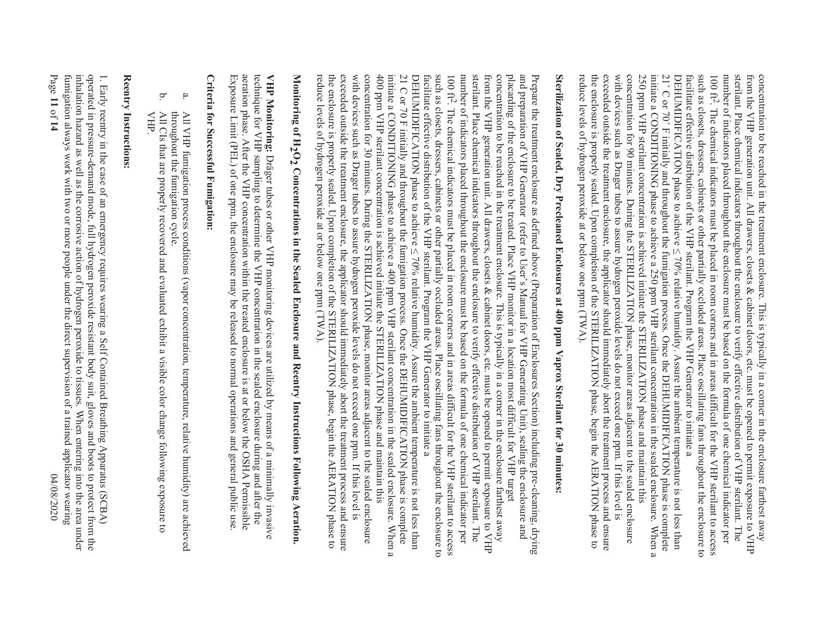initiate a CONDITIONING phase to achieve a 250 ppm VHP sterilant concentration in the sealed enclosure. When a  $100~\mathrm{ft}^2$ with devices such as Drager tubes to assure hydrogen peroxide levels do not exceed one ppm. If this level is concentration for 90 minutes. During the STERILIZATION phase, monitor areas adjacent to the sealed enclosure 250 ppm VHP sterilant concentration is achieved initiate the STERILIZATION phase and maintain this facilitate effective distribution of the VHP sterilant. Program the VHP Generator to initiate a such as closets, dressers, cabinets or other partially occluded areas. Place oscillating fans throughout the enclosure to number of indicators placed throughout the enclosure must be based on the formula of one chemical indicator per sterilant. Place chemical indicators throughout the enclosure to verify effective distribution of VHP sterilant. The from the VHP generation unit. All drawers, closets & cabinet doors, etc. must be opened to permit exposure to VHP concentration to be reached in the treatment enclosure. This is typically in a corner in the enclosure farthest away with devices such as Drager tubes to assure hydrogen peroxide levels do not exceed one ppm. If this level is concentration for 90 minutes. During the STERILIZATION phase, monitor areas adjacent to the sealed enclosure 250 ppm VHP sterilant concentration is achieved initiate the STERILIZATION phase and maintain this initiate a CONDITIONING phase to achieve a 250 ppm VHP sterilant concentration in the sealed enclosure. When a  $21^\circ$  C or 70 $^\circ$ DEHUMIDIFICATION phase to achieve < 70% relative humidity. Assure the ambient temperature is not less than facilitate effective distribution of the VHP sterilant. Program the VHP Generator to initiate a such as closets, dressers, cabinets or other partially occluded areas. Place oscillating fans throughout the enclosure to 100 ft2. The chemical indicators must be placed in room corners and in areas difficult for the VHP sterilant to access number of indicators placed throughout the enclosure must be based on the formula of one chemical indicator per sterilant. Place chemical indicators throughout the enclosure to verify effective distribution of VHP sterilant. The from the VHP generation unit. All drawers, closets & cabinet doors, etc. must be opened to permit exposure to VHP concentration to be reached in the treatment enclosure. This is typically in a corner in the enclosure farthest away The chemical indicators must be placed in room corners and in areas difficult for the VHP sterilant to access F initially and throughout the fumigation process. Once the DEHUMIDIFICATION phase is complete

# Sterilization of Sealed, Dry Precleaned Enclosures at 400 ppm Vaprox Sterilant for 30 minutess **Sterilization of Sealed, Dry Pr ecleaned Enclosures at 400 ppm Vaprox Sterilant for 30 minutes:**

reduce levels of hydrogen peroxide at or below one ppm (TWA).

reduce levels of hydrogen peroxide at or below one ppm (TWA).

exceeded outside the treatment enclosure, the applicator should immediately abort the treatment process and ensure the enclosure is properly sealed. Upon completion of the STERILIZATION phase, begin the AERATION phase to

the enclosure is properly sealed. Upon completion of the STERILIZATION phase, begin the AERATION phase to exceeded outside the treatment enclosure, the applicator should immediately abort the treatment process and ensure

the enclosure is properly sealed. Upon completion of the STERILIZATION phase, begin the AERATION phase to  $100 \text{ ft}^2$ . number of indicators placed throughout the enclosure must be based on the formula of one chemical indicator per Prepare the treatment enclosure as defined above (Preparation of Enclosures Section) including pre-cleaning, drying<br>and preparation of VHP Generator (refer to User's Manual for VHP Generating Unit), sealing the enclosure a reduce levels of hydrogen peroxide at or below one ppm (TWA). exceeded outside the treatment enclosure, the applicator should immediately abort the treatment process and ensure with devices such as Drager tubes to assure hydrogen peroxide levels do not exceed one ppm. If this levices such as Drager concentration for 30 minutes. During the STERILIZATION phase, monitor areas adjacent to the sealed enclosure 400 ppm VHP sterilant concentration is achieved initiate the STERILIZATION phase and maintain this initiate a CONDITIONING phase to achieve a 400 ppm VHP sterilant concentration in the sealed enclosure. When a 21 C or 70 F initially and throughout the fumigation process. Once the DEHUMIDIFICATION phase is complete facilitate effective distribution of the VHP sterilant. Program the VHP Generator initiate a such as closets, dressers, cabinets or other partially occluded areas. Place oscillating fans throughout the enclosure to stellant. The determination of the exclusive of the excludion of the distribution of XHR stellant. The collar is the determination of XHR stellant. from the VHP generation unit. All drawers, closets & cabinet doors, etc. must be opened to permit exposure to VHP concentration to be reached in the treatment enclosure. This is typically in a corner in the enclosure farthest away placarding of the enclosure of the state of the SHE sequence of the state of the state of the sequence of the state of the state of the state of the state of the state of the state of the state of the state of the state of reduce levels of hydrogen peroxide at or below one ppm (TWA). the enclosure is properly sealed. Upon completion of the STERILIZATION phase, begin the AERATION phase to exceeded outside the treatment enclosure, the applicator should immediately abort the treatment process and ensure with devices such as Drager tubes to assure hydrogen peroxide levels do not exceed one ppm. If this level is concentration for 30 minutes. During the STERILIZATION phase, monitor areas adjacent to the sealed enclosure 400 ppm VHP sterilant concentration is achieved initiate the STERILIZATION phase and maintain this initiate a CONDITIONING phase to achieve a 400 ppm VHP sterilant concentration in the sealed enclosure. When a 21 C or 70 F initially and throughout the fumigation process. Once the UPHUMIDIFICATION phase is complete 21 C  $DEHUMIDIFICATION$  phase to achieve  $\leq 70\%$  relative humidity. Assure the ambient temperature is not less than DEHUMIDIFICATION phase to achieve < 70% relative humidity. Assure the ambient temperature is not less than facilitate effective distribution of the VHP sterilant. Program the VHP Generator to initiate a such as closets, dressers, cabinets or other partially occluded areas. Place oscillating fans throughout the enclosure to 100 ft2. The chemical indicators must be placed in room corners and in areas difficult for the VHP sterilant to access number of indicators placed throughout the enclosure must be based on the formula of one chemical indicator per sterilant. Place chemical indicators throughout the enclosure to verify effective distribution of VHP sterilant. The from the VHP generation unit. All drawers, closets & cabinet doors, etc. must be opened to permit exposure to VHP concentration to be reached in the treatment enclosure. This is typically in a corner in the enclosure farthest away placarding of the enclosure to be treated. Place VHP monitor in a location most difficult for VHP target and preparation of VHP Generator (rPrepare the treatment enclosure as defined above (Preparation of Enclosures Section) including pre-cleaning, drying The chemical indicators must be placed in room comers and in areas difficult for the VHP sterilant to access efer to User's Manual for VHP Generating Unit), sealing the enclosure and

# Monitoring of H<sub>2</sub>O<sub>2</sub> Concentrations in the Sealed Enclosure and Reentry Instructions Following Aeration. **Monitoring of H 2O2 Concentrations in the Sealed Enclosure and Reentry Instructions Following Aeration.**

Exposure Limit (PEL) of one ppm, the enclosure may be released to normal operations and general public use aeration phase. After the VHP concentration within the treated enclosure is at or below the OSHA Permissible technique for VHP sampling to determine the VHP concentration in the scaled enclosure during and after the VHP Monitoring: Dräger tubes or other VHP monitoring devices are utilized by means of a minimally invasive Exposure Limit (PEL) of one ppm, the enclosure may be released to normal operations and general public use. aeration phase. After the VHP concentration within the treated enclosure is at or below the OSHA Permissible technique for VHP sampling to determine the VHP concentration in the sealed enclosure during and after the **VHP Monitoring:**Dräger tubes or other VHP monitoring devices are utilized by means of a minimally invasive

## Criteria for Successful Fumigation: **Criteria for Successful Fumigation:**

- a. throughout the fumigation cycle. throughout the fumigation cycle. All VHP fumigation process conditions (vapor concentration, temperature, relative humidity) are achieved All VHP fumigation process conditions (vapor concentration, temperature, relative humidity) are achieved
- b. VHP. All CIs that are properly recovered and evaluated exhibit a visible color change following exposure to All CIs that are properly recovered and evaluated exhibit a visible color change following exposure to

### Reentry Instructions: **Reentry Instructions:**

fumigation always work with two or more people under the direct supervision of a trained applicator wearing inhalation hazard as well as the corrosive action of hydrogen peroxide to tissues. When entering into the area under operated in pressure-demand mode, full hydrogen peroxide resistant body suit, gloves and boots to protect from the 1. Early reentry in the case of an emergency requires wearing a Self Contained Breathing Apparatus (SCBA) Page fumigation always work with two or more people under the direct supervision of a trained applicator wearing inhalation hazard as well as the corrosive action of hydrogen peroxide to tissues. When entering into the area under operated in pressure-demand mode, full hydrogen peroxide resistant body suit, gloves and boots to protect from the 1. Early reentry in the case of an emergency require **11** of **14** 04/08/2020 s wearing a Self Contained Breathing Apparatus (SCBA) 04/08/2020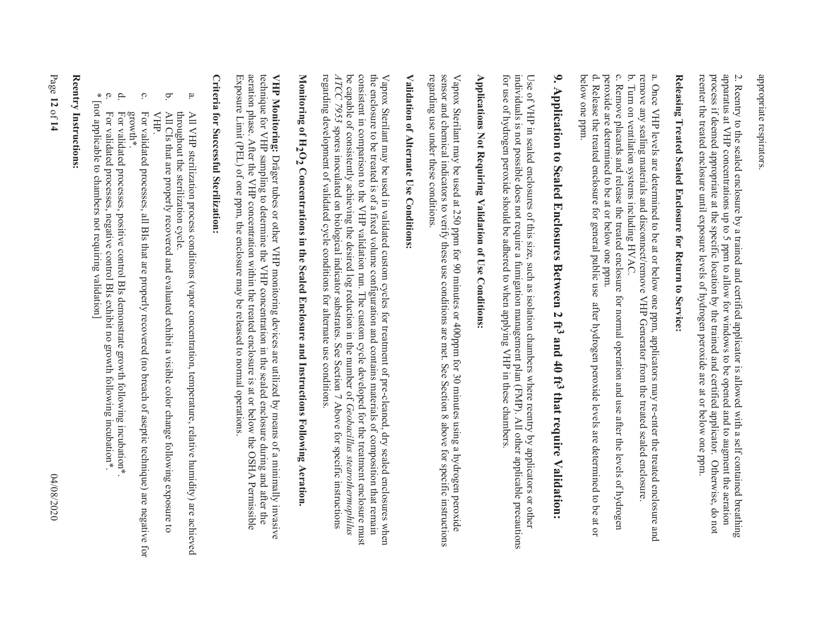appropriate respirators appropriate respirators.

apparatus at VHP concentrations up to 5 ppm to allow for windows to be opened and to augment the aeration process if deemed appropriate at the specific location by the trained and certified applicator. Otherwise, do not reenter the treated enclosure until exposure levels of hydrogen peroxide are at or below one ppm 2. Reentry to the sealed enclosure by a trained and certified applicator is allowed with a self contained breathing reenter the treated enclosure until exposure levels of hydrogen peroxide are at or below one ppm. process if deemed appropriate at the specific location by the trained and certified applicator. Otherwise, do not apparatus at VHP concentrations up to 5 ppm to allow for windows to be opened and to augment the aeration 2. Reentry to the sealed enclosure by a trained and cer tified applicator is allowed with a self contained breathing

# Releasing Treated Sealed Enclosure for Return to Service: **Releasing Treated Sealed Enclosure for Return to Service:**

a. Once VHP levels are determined to be at or below one ppm, applicators may re-enter the treated enclosure and<br>remove any sealing materials and disconnect/remove VHP Generator from the treated sealed enclosure. remove any sealing materials and disconnect/remove VHP Generator from the treated sealed enclosure. a. Once VHP levels are determined to be at or below one ppm, applicators may re-enter the treated enclosure and

c. Remove placards and release the treated enclosure for normal operation and use after the levels of hydrogen b. Turn on ventilation systems including HVAC c. Remove placards and release the tr b. Turn on ventilation systems including HVAC. eated enclosure for normal operation and use after the levels of hydrogen

below one ppm. d. Release the treated enclosure for general public use after hydrogen peroxide levels are determined to be at or peroxide are determined to be at or below one ppm. below one ppm. d. Release the treated enclosu peroxide are determined to be at or below one ppm. re for general public use after hydrogen peroxide levels are determined to be at or

# 9. Application to Sealed Enclosures Between 2 ft3 and 40 ft3 that require Validation: **9. Application to Sealed Enclosures Between 2 ft3 and 40 ft3 that require Validation:**

Use of VHP in sealed enclosures of this size, such as isolation chambers where reentry by applicators or other<br>individuals is not possible does not require a fumigation management plan (FMP). All other applicable precautio for use of hydrogen peroxide should be adhered to when applying VHP in these chambers. individuals is not possible does not require a fumigation management plan (FMP). All other applicable precautions Use of VHP in sealed enclosures of this size, such as isolation chambers where reentry by applicators or other

# Applications Not Requiring Validation of Use Conditions: **Applications Not Requiring Validation of Use Conditions:**

sensor and chemical indicators to verify these use conditions are met. See Section 8 above for specific instructions regarding use under these conditions. regarding use under these conditions. sensor and chemical indicators to verify these use conditions are met. See Section 8 above for specific instructions Vaprox Sterilant may be used at 250 ppm for 90 minutes or 400ppm for 30 minutes using a hydrogen peroxide Vaprox Sterilant may be used at 250 ppm for 90 minutes or 400ppm for 30 minutes using a hydrogen peroxide

## Validation of Alternate Use Conditions: **Validation of Alternate Use Conditions:**

regarding development of validated cycle conditions for alternate use conditions. ATCC be capable of consistently achieving the desired log reduction in the number of Geobacillus stearothermophilus consistent in comparison to the NHP validation run. The custom cycle developed for the treatment enclosure must the enclosure to be treated is of a fixed volume configuration and contains materials of composition that remain regarding development of validated cycle conditions for alternate use conditions. *ATCC 7953* be capable of consistently achieving the desired log reduction in the number of consistent in comparison to the VHP validation run. The custom cycle developed for the treatment enclosure must the enclosure to be treated is of a fixed volume configuration and contains materials of composition that remain Vaprox Sterilant may be used in validated custom or pre-cleared custom of pre-cleared, dry sealed enclosures when Vaprox Sterilant may be used in validated custom cycles fo 7953 spores inoculated on biological indicator substrates. See Section 7 Above for specific instructions spores inoculated on biological indicator substrates. See Section 7 Above for specific instructions r treatment of pre-cleaned, dry sealed enclosures when *Geobacillus stearothermophilus* 

# Monitoring of  $\rm H_2O_2$  Concentrations in the Sealed Enclosure and Instructions Following Aeration. **Monitoring of H2O2 Concentrations in the Sealed Enclosure and Instructions Following Aeration.**

Exposure Limit (PEL) of one ppm, the enclosure may be released to normal operations aeration phase. After the VHP concentration within the treated enclosure is at or below the OSHA Permissible technique for VHP sampling to determine the VHP concentration in the case of controller that after the VHP Monitoring: Dräger tubes or other VHP monitoring devices are utilized by means of a minimally invasive Exposure Limit (PEL) of one ppm, the enclosure may be released to normal operations. aeration phase. After the VHP concentration within the treated enclosure is at or below the OSHA Permissible technique for VHP sampling to determine the VHP concentration in the sealed enclosure during and after the **VHP Monitoring:**Dräger tubes or other VHP monitoring devices are utilized by means of a minimally invasive

## **Criteria for Successful Sterilization: Criteria for Successful Sterilization:**

- a. throughout the sterilization cycle. throughout the sterilization cycle. All VHP sterilization process conditions (vapor concentration, temperature, relative humidity) are achieved All VHP sterilization process conditions (vapor concentration, temperature, relative humidity) are achieved
- b. All CIs that are properly recovered and evaluated exhibit a visible color change following exposure to All CIs that are properly recovered and evaluated exhibit a visible color change following exposure to VHP.
- c. For validated processes, all BIs that are properly recovered (no breach of aseptic technique) are negative for For validated processes, all BIs that are properly recovered (no breach of aseptic technique) are negative for<br>growth\*.
- d. For validated processes, positive control BIs demonstrate growth following incubation\* For validated processes, positive control BIs demonstrate growth following incubation\*.
- For validated processes, negative control BIs exhibit no growth following incubation\* For validated processes, negative control BIs exhibit no growth following incubation\*.
- $\ast$  0 \* [not applicable to chambers not requiring validation] [not applicable to chambers not requiring validation]

### Reentry Instructions: **Reentry Instructions:**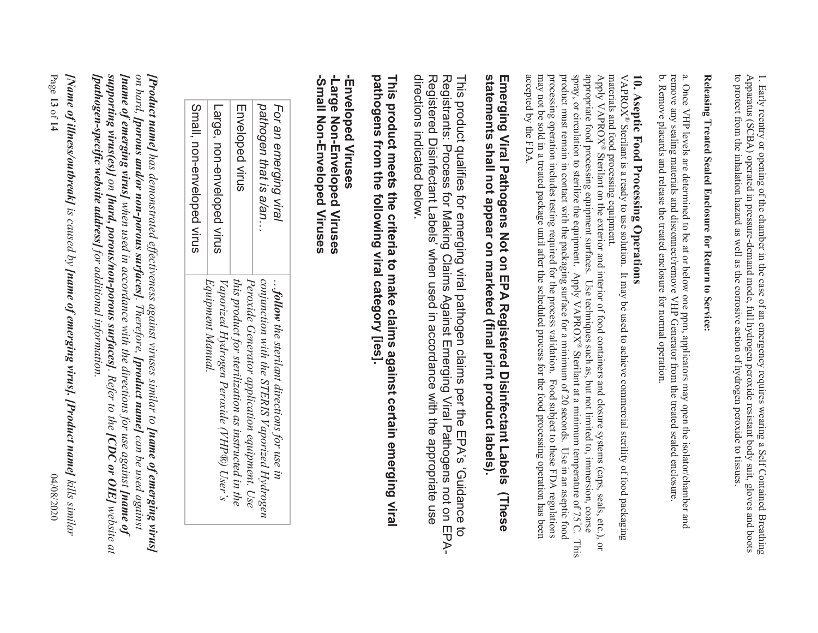Apparatus (SCBA) operated in pressure-demand mode, full hydrogen peroxide resistant body suit, gloves and boots<br>to protect from the inhalation hazard as well as the corrosive action of hydrogen peroxide to tissues. 1. Early reentry or opening of the chamber in the case of an emergency requires wearing a Self Contained Breathing to protect from the inhalation hazard as well as the corrosive action of hydrogen peroxide to tissues. Apparatus (SCBA) operated in pressure-demand mode, full hydrogen peroxide resistant body suit, gloves and boots 1. Early reentry or opening of the chamber in the case of an emergency requires wearing a Self Contained Breathing

# Releasing Treated Sealed Enclosure for Return to Service: **Releasing Treated Sealed Enclosure for Return to Service:**

a. Once VHP levels are determined to be at or below one ppm, applicators may open the isolator/chamber and b. Remove placards and release the treated enclosure for normal operation. remove any sealing materials and disconnect/remove VHP Generator from the treated sealed enclosure b. Remove placards and release the treated enclosure for normal operation. remove any sealing materials and disconnect/remove VHP Generator from the treated sealed enclosure. a. Once VHP levels are determined to be at or below one ppm, applicators may open the isolator/chamber and

# **10. Aseptic Food Processing Operations**

materials and food processing equipment. 10. Aseptic Food Processing Operations<br>VAPROX® Sterilant is a ready to use solution. It may be used to achieve commercial sterility of food packaging materials and food processing equipment.<br>Apply VAPROX® Sterilant on the exterior and interior of food containers and closure systems (caps, seals, etc.), or ® Sterilant is a ready to use solution. It may be used to achieve commercial sterility of food packaging

processing operation includes testing required for the process validation. Food subject to these FDA regulations<br>may not be sold in a treated package until after the scheduled process for the food processing operation has appropriate food processing equipment surfaces. Use techniques such as, but not limited to, immersion, coarse spray, or circulation to sterilize the equipment. Apply VAPROX® Sterilant at a minimum temperature of 75°C. accepted by the FDA. product must remain in contact with the packaging surface for a minimum of 20 seconds. Use in an aseptic food Apply VAPROX® Sterilant on the exterior and interior of food containers and closure systems (caps, seals, etc.), or accepted by the FDA. may not be sold in a treated package until after the scheduled process for the food processing operation has been processing operation includes testing required for the process validation. Food subject to these FDA regulations product must remain in contact with the packaging surface for a minimum of 20 seconds. Use in an aseptic food spray, or circulation to sterilize the equipment. Apply VAPROX® Sterilant at a minimum temperature of 75 appropriate food processing equipment surfaces. Use techniques such as, but not limited to, immersion, coarse Apply VAPROX C. This

## statements shall not appear on marketed (final print product labels). **statements shall not appear on marketed (final print product labels).**  Emerging Viral Pathogens Not on EPA Registered Disinfectant Labels **Emerging Viral Pathogens Not on EPA Regis tered Disinfectant Labels (These**  (These

directions indicated below. directions indicated below. Registered Disinfectant Labels' when used in accordance with the appropriate use Registered Disinfectant Labels' when used in accordance with the appropriate use Registrants: Process for Making Claims Against Emerging Viral Pathogens not on EPA-Registrants: Process for Making Claims Against Emerging Viral Pathogens not on EPA-This product qualifies for emerging viral pathogen claims per the EPA's 'Guidance to This product qualifies for emerging viral pathogen claims per the EPA's 'Guidance to

## pathogens from the following viral category [ies]. This product meets the criteria to make claims against certain emerging viral **pathogens from the following viral category [ies]. This product meets the criteria to ma ke claims against certain emerging viral**

### -Small Non-Enveloped Viruses **-Small Non-Enveloped Viruses** -Large Non-Enveloped Viruses **-Large Non-Enveloped Viruses Enveloped Viruses -Enveloped Viruses**

| Small, non-enveloped virus | Large, non-enveloped virus                                     | Enveloped virus                                                                                      | For an emerging viral<br>pathogen that is a/an                                                        |  |
|----------------------------|----------------------------------------------------------------|------------------------------------------------------------------------------------------------------|-------------------------------------------------------------------------------------------------------|--|
|                            | Vaporized Hydrogen Peroxide (VHP®) User's<br>Equipment Manual. | Peroxide Generator application equipment. Use<br>this product for sterilization as instructed in the | conjunction with the STERIS Vaporized Hydrogen<br>$\ldots$ follow the sterilant directions for use in |  |

supporting virus(es)] on [hard, porous/non-porous surfaces]. Refer to the [CDC or OIE] website at **/Product name]** has demonstrated effectiveness against viruses similar to **[name of emerging virus]**<br>on hard, **[porous and/or non-porous surfaces]**. Therefore, **[product name]** can be used against **[pathogen-specific website address]** for additional information *[pathogen-specific website address] for additional information. supporting virus(es)]* **[name of emerging virus]** when used in accordance with the directions for use against **[name of** *[name of emerging virus] on hard, [porous and/or non-porous surfaces][Product name] has demonstrated effectiveness against viruses similar to on [hard, porous/non-porous surfaces]when used in accordance with the directions for use against [product name] . Refer to the [name of emerging virus] [CDC or OIE] website at can be used against* 

Page *kills similar [Name of illness/outbreak]* **13** of **14** 04/08/2020 *is caused by [name of emerging virus]. [Product name]* 04/08/2020